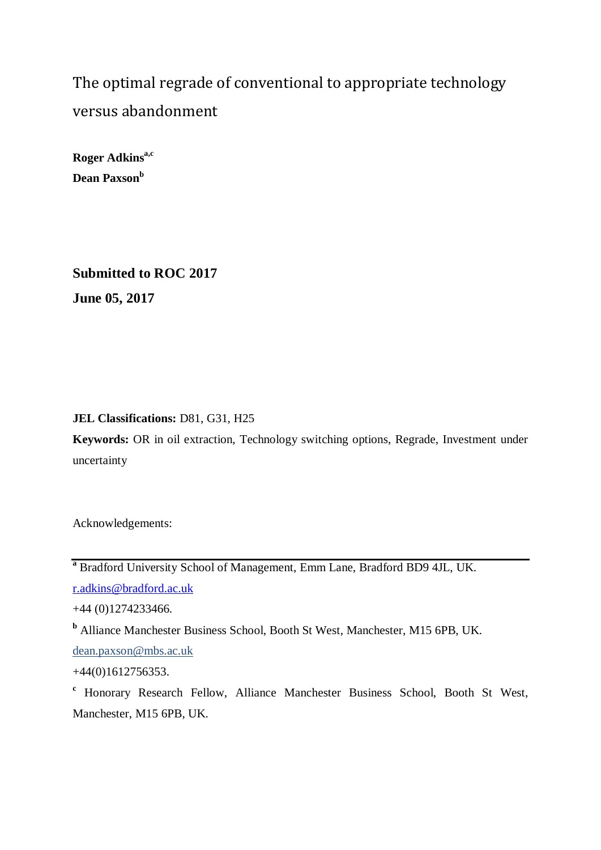The optimal regrade of conventional to appropriate technology versus abandonment

**Roger Adkins<sup>a,c</sup> Dean Paxson<sup>b</sup>**

**Submitted to ROC 2017 June 05, 2017**

**JEL Classifications:** D81, G31, H25

**Keywords:** OR in oil extraction, Technology switching options, Regrade, Investment under uncertainty

Acknowledgements:

**<sup>a</sup>** Bradford University School of Management, Emm Lane, Bradford BD9 4JL, UK.

[r.adkins@bradford.ac.uk](mailto:r.adkins@bradford.ac.uk)

+44 (0)1274233466.

**<sup>b</sup>** Alliance Manchester Business School, Booth St West, Manchester, M15 6PB, UK.

dean.paxson@mbs.ac.uk

+44(0)1612756353.

**<sup>c</sup>** Honorary Research Fellow, Alliance Manchester Business School, Booth St West, Manchester, M15 6PB, UK.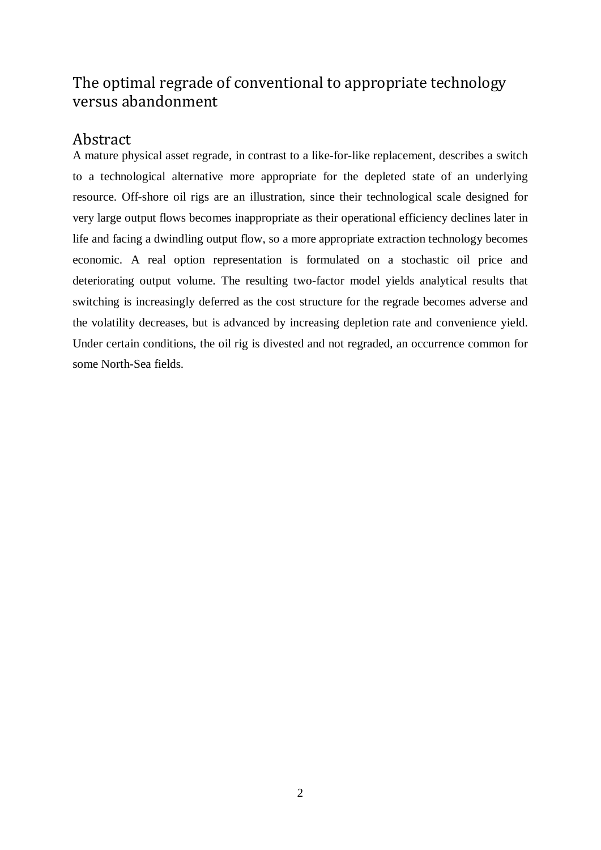# The optimal regrade of conventional to appropriate technology versus abandonment

# Abstract

A mature physical asset regrade, in contrast to a like-for-like replacement, describes a switch to a technological alternative more appropriate for the depleted state of an underlying resource. Off-shore oil rigs are an illustration, since their technological scale designed for very large output flows becomes inappropriate as their operational efficiency declines later in life and facing a dwindling output flow, so a more appropriate extraction technology becomes economic. A real option representation is formulated on a stochastic oil price and deteriorating output volume. The resulting two-factor model yields analytical results that switching is increasingly deferred as the cost structure for the regrade becomes adverse and the volatility decreases, but is advanced by increasing depletion rate and convenience yield. Under certain conditions, the oil rig is divested and not regraded, an occurrence common for some North-Sea fields.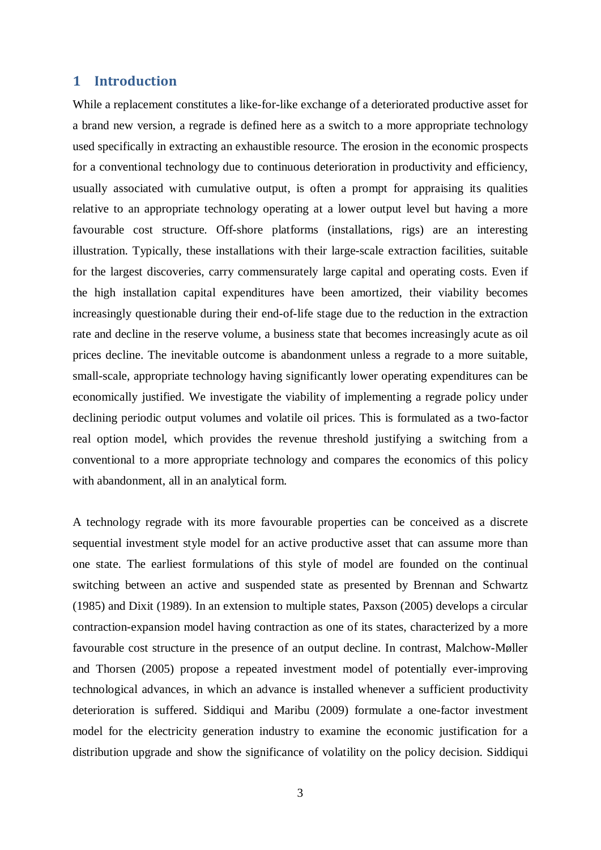# **1 Introduction**

While a replacement constitutes a like-for-like exchange of a deteriorated productive asset for a brand new version, a regrade is defined here as a switch to a more appropriate technology used specifically in extracting an exhaustible resource. The erosion in the economic prospects for a conventional technology due to continuous deterioration in productivity and efficiency, usually associated with cumulative output, is often a prompt for appraising its qualities relative to an appropriate technology operating at a lower output level but having a more favourable cost structure. Off-shore platforms (installations, rigs) are an interesting illustration. Typically, these installations with their large-scale extraction facilities, suitable for the largest discoveries, carry commensurately large capital and operating costs. Even if the high installation capital expenditures have been amortized, their viability becomes increasingly questionable during their end-of-life stage due to the reduction in the extraction rate and decline in the reserve volume, a business state that becomes increasingly acute as oil prices decline. The inevitable outcome is abandonment unless a regrade to a more suitable, small-scale, appropriate technology having significantly lower operating expenditures can be economically justified. We investigate the viability of implementing a regrade policy under declining periodic output volumes and volatile oil prices. This is formulated as a two-factor real option model, which provides the revenue threshold justifying a switching from a conventional to a more appropriate technology and compares the economics of this policy with abandonment, all in an analytical form.

A technology regrade with its more favourable properties can be conceived as a discrete sequential investment style model for an active productive asset that can assume more than one state. The earliest formulations of this style of model are founded on the continual switching between an active and suspended state as presented by Brennan and Schwartz (1985) and Dixit (1989). In an extension to multiple states, Paxson (2005) develops a circular contraction-expansion model having contraction as one of its states, characterized by a more favourable cost structure in the presence of an output decline. In contrast, Malchow-Møller and Thorsen (2005) propose a repeated investment model of potentially ever-improving technological advances, in which an advance is installed whenever a sufficient productivity deterioration is suffered. Siddiqui and Maribu (2009) formulate a one-factor investment model for the electricity generation industry to examine the economic justification for a distribution upgrade and show the significance of volatility on the policy decision. Siddiqui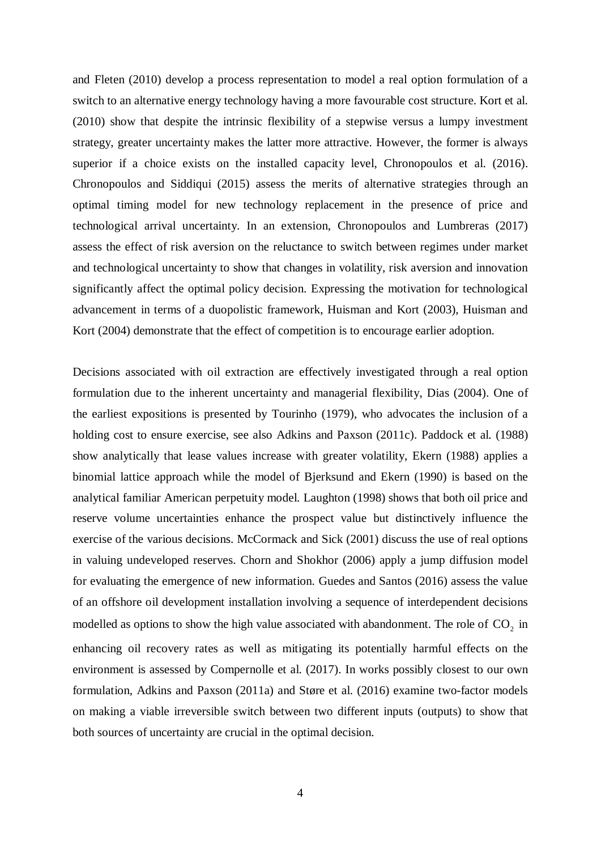and Fleten (2010) develop a process representation to model a real option formulation of a switch to an alternative energy technology having a more favourable cost structure. Kort et al. (2010) show that despite the intrinsic flexibility of a stepwise versus a lumpy investment strategy, greater uncertainty makes the latter more attractive. However, the former is always superior if a choice exists on the installed capacity level, Chronopoulos et al. (2016). Chronopoulos and Siddiqui (2015) assess the merits of alternative strategies through an optimal timing model for new technology replacement in the presence of price and technological arrival uncertainty. In an extension, Chronopoulos and Lumbreras (2017) assess the effect of risk aversion on the reluctance to switch between regimes under market and technological uncertainty to show that changes in volatility, risk aversion and innovation significantly affect the optimal policy decision. Expressing the motivation for technological advancement in terms of a duopolistic framework, Huisman and Kort (2003), Huisman and Kort (2004) demonstrate that the effect of competition is to encourage earlier adoption.

Decisions associated with oil extraction are effectively investigated through a real option formulation due to the inherent uncertainty and managerial flexibility, Dias (2004). One of the earliest expositions is presented by Tourinho (1979), who advocates the inclusion of a holding cost to ensure exercise, see also Adkins and Paxson (2011c). Paddock et al. (1988) show analytically that lease values increase with greater volatility, Ekern (1988) applies a binomial lattice approach while the model of Bjerksund and Ekern (1990) is based on the analytical familiar American perpetuity model. Laughton (1998) shows that both oil price and reserve volume uncertainties enhance the prospect value but distinctively influence the exercise of the various decisions. McCormack and Sick (2001) discuss the use of real options in valuing undeveloped reserves. Chorn and Shokhor (2006) apply a jump diffusion model for evaluating the emergence of new information. Guedes and Santos (2016) assess the value of an offshore oil development installation involving a sequence of interdependent decisions modelled as options to show the high value associated with abandonment. The role of CO<sub>2</sub> in enhancing oil recovery rates as well as mitigating its potentially harmful effects on the environment is assessed by Compernolle et al. (2017). In works possibly closest to our own formulation, Adkins and Paxson (2011a) and Støre et al. (2016) examine two-factor models on making a viable irreversible switch between two different inputs (outputs) to show that both sources of uncertainty are crucial in the optimal decision.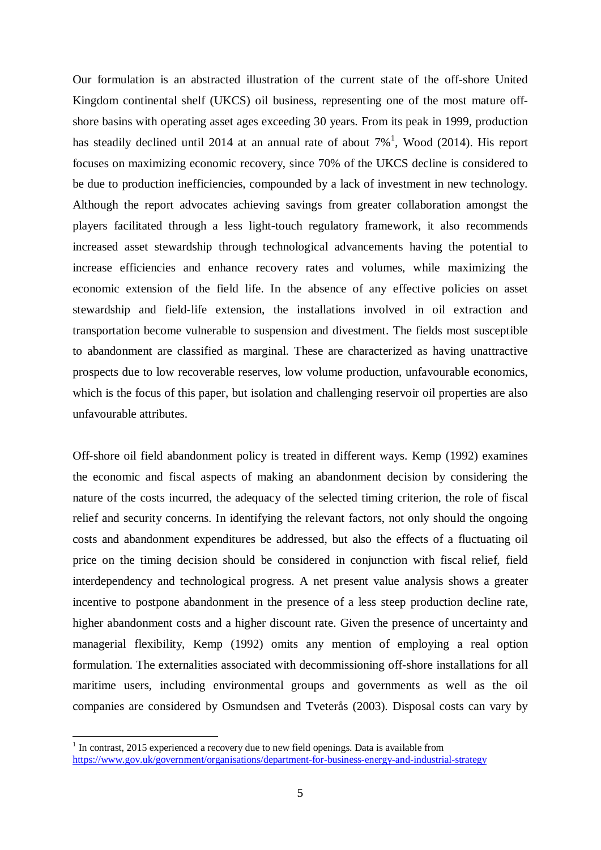Our formulation is an abstracted illustration of the current state of the off-shore United Kingdom continental shelf (UKCS) oil business, representing one of the most mature offshore basins with operating asset ages exceeding 30 years. From its peak in 1999, production has steadily declined until 20[1](#page-4-0)4 at an annual rate of about  $7\%$ <sup>1</sup>, Wood (2014). His report focuses on maximizing economic recovery, since 70% of the UKCS decline is considered to be due to production inefficiencies, compounded by a lack of investment in new technology. Although the report advocates achieving savings from greater collaboration amongst the players facilitated through a less light-touch regulatory framework, it also recommends increased asset stewardship through technological advancements having the potential to increase efficiencies and enhance recovery rates and volumes, while maximizing the economic extension of the field life. In the absence of any effective policies on asset stewardship and field-life extension, the installations involved in oil extraction and transportation become vulnerable to suspension and divestment. The fields most susceptible to abandonment are classified as marginal. These are characterized as having unattractive prospects due to low recoverable reserves, low volume production, unfavourable economics, which is the focus of this paper, but isolation and challenging reservoir oil properties are also unfavourable attributes.

Off-shore oil field abandonment policy is treated in different ways. Kemp (1992) examines the economic and fiscal aspects of making an abandonment decision by considering the nature of the costs incurred, the adequacy of the selected timing criterion, the role of fiscal relief and security concerns. In identifying the relevant factors, not only should the ongoing costs and abandonment expenditures be addressed, but also the effects of a fluctuating oil price on the timing decision should be considered in conjunction with fiscal relief, field interdependency and technological progress. A net present value analysis shows a greater incentive to postpone abandonment in the presence of a less steep production decline rate, higher abandonment costs and a higher discount rate. Given the presence of uncertainty and managerial flexibility, Kemp (1992) omits any mention of employing a real option formulation. The externalities associated with decommissioning off-shore installations for all maritime users, including environmental groups and governments as well as the oil companies are considered by Osmundsen and Tveterås (2003). Disposal costs can vary by

<span id="page-4-0"></span> $1$  In contrast, 2015 experienced a recovery due to new field openings. Data is available from <https://www.gov.uk/government/organisations/department-for-business-energy-and-industrial-strategy>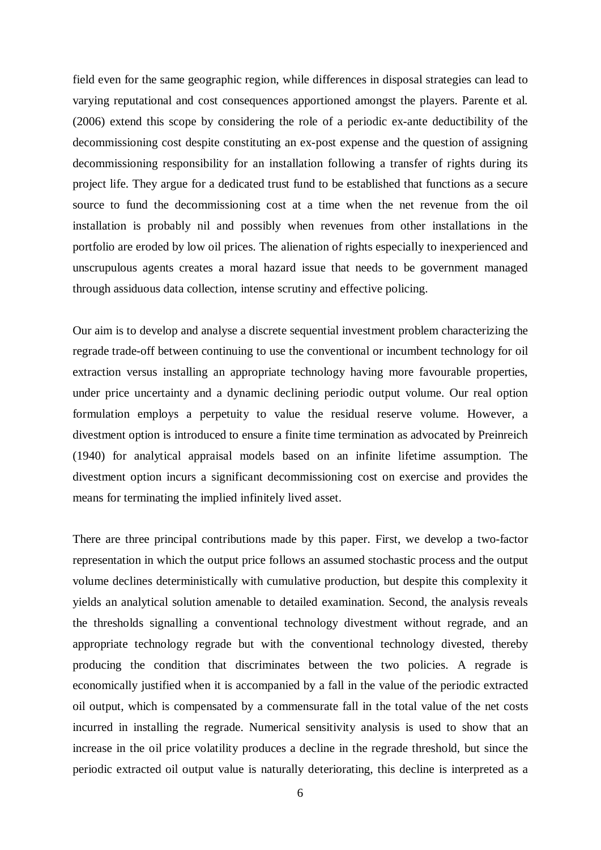field even for the same geographic region, while differences in disposal strategies can lead to varying reputational and cost consequences apportioned amongst the players. Parente et al. (2006) extend this scope by considering the role of a periodic ex-ante deductibility of the decommissioning cost despite constituting an ex-post expense and the question of assigning decommissioning responsibility for an installation following a transfer of rights during its project life. They argue for a dedicated trust fund to be established that functions as a secure source to fund the decommissioning cost at a time when the net revenue from the oil installation is probably nil and possibly when revenues from other installations in the portfolio are eroded by low oil prices. The alienation of rights especially to inexperienced and unscrupulous agents creates a moral hazard issue that needs to be government managed through assiduous data collection, intense scrutiny and effective policing.

Our aim is to develop and analyse a discrete sequential investment problem characterizing the regrade trade-off between continuing to use the conventional or incumbent technology for oil extraction versus installing an appropriate technology having more favourable properties, under price uncertainty and a dynamic declining periodic output volume. Our real option formulation employs a perpetuity to value the residual reserve volume. However, a divestment option is introduced to ensure a finite time termination as advocated by Preinreich (1940) for analytical appraisal models based on an infinite lifetime assumption. The divestment option incurs a significant decommissioning cost on exercise and provides the means for terminating the implied infinitely lived asset.

There are three principal contributions made by this paper. First, we develop a two-factor representation in which the output price follows an assumed stochastic process and the output volume declines deterministically with cumulative production, but despite this complexity it yields an analytical solution amenable to detailed examination. Second, the analysis reveals the thresholds signalling a conventional technology divestment without regrade, and an appropriate technology regrade but with the conventional technology divested, thereby producing the condition that discriminates between the two policies. A regrade is economically justified when it is accompanied by a fall in the value of the periodic extracted oil output, which is compensated by a commensurate fall in the total value of the net costs incurred in installing the regrade. Numerical sensitivity analysis is used to show that an increase in the oil price volatility produces a decline in the regrade threshold, but since the periodic extracted oil output value is naturally deteriorating, this decline is interpreted as a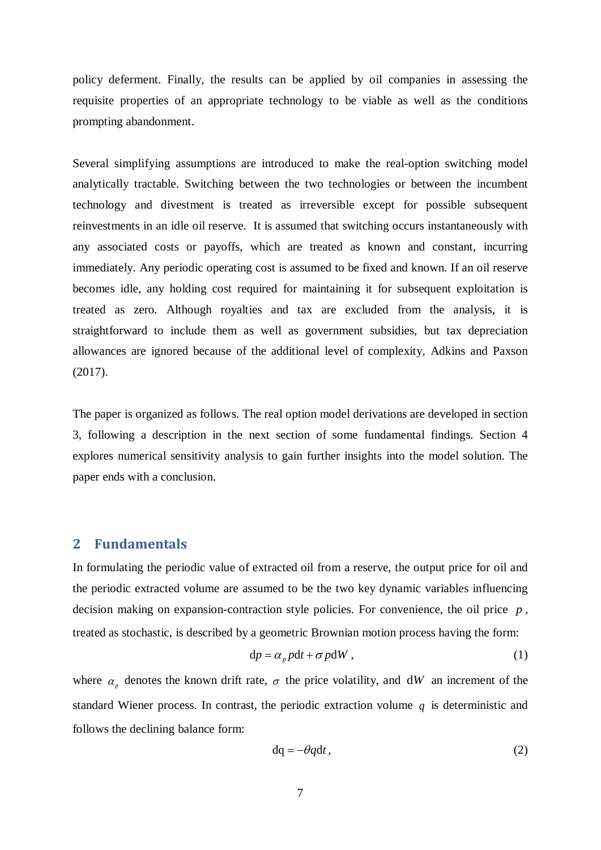policy deferment. Finally, the results can be applied by oil companies in assessing the requisite properties of an appropriate technology to be viable as well as the conditions prompting abandonment.

Several simplifying assumptions are introduced to make the real-option switching model analytically tractable. Switching between the two technologies or between the incumbent technology and divestment is treated as irreversible except for possible subsequent reinvestments in an idle oil reserve. It is assumed that switching occurs instantaneously with any associated costs or payoffs, which are treated as known and constant, incurring immediately. Any periodic operating cost is assumed to be fixed and known. If an oil reserve becomes idle, any holding cost required for maintaining it for subsequent exploitation is treated as zero. Although royalties and tax are excluded from the analysis, it is straightforward to include them as well as government subsidies, but tax depreciation allowances are ignored because of the additional level of complexity, Adkins and Paxson (2017).

The paper is organized as follows. The real option model derivations are developed in section 3, following a description in the next section of some fundamental findings. Section 4 explores numerical sensitivity analysis to gain further insights into the model solution. The paper ends with a conclusion.

## **2 Fundamentals**

In formulating the periodic value of extracted oil from a reserve, the output price for oil and the periodic extracted volume are assumed to be the two key dynamic variables influencing decision making on expansion-contraction style policies. For convenience, the oil price *p* , treated as stochastic, is described by a geometric Brownian motion process having the form:

$$
dp = \alpha_p pdt + \sigma p dW, \qquad (1)
$$

where  $\alpha_n$  denotes the known drift rate,  $\sigma$  the price volatility, and dW an increment of the standard Wiener process. In contrast, the periodic extraction volume *q* is deterministic and follows the declining balance form:

$$
dq = -\theta q dt, \qquad (2)
$$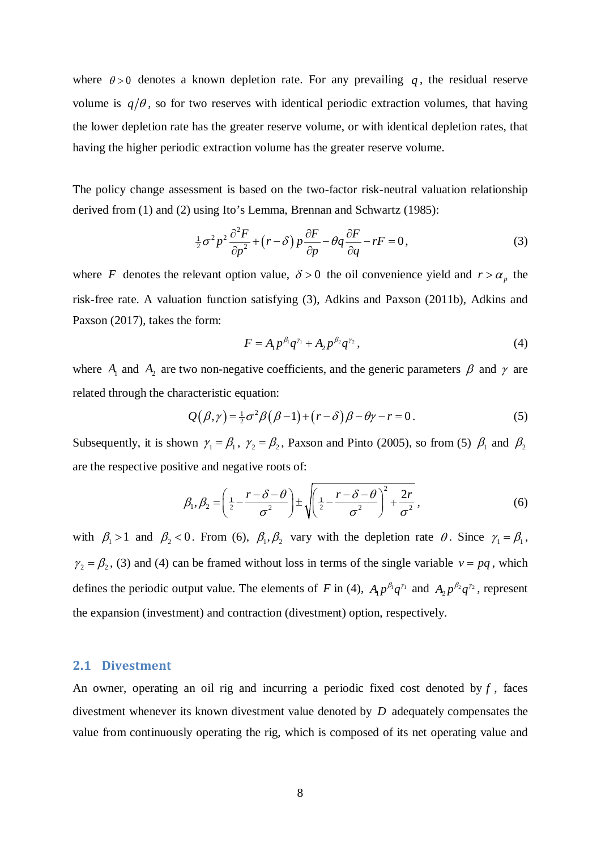where  $\theta > 0$  denotes a known depletion rate. For any prevailing q, the residual reserve volume is  $q/\theta$ , so for two reserves with identical periodic extraction volumes, that having the lower depletion rate has the greater reserve volume, or with identical depletion rates, that having the higher periodic extraction volume has the greater reserve volume.

The policy change assessment is based on the two-factor risk-neutral valuation relationship derived from (1) and (2) using Ito's Lemma, Brennan and Schwartz (1985):

$$
\frac{1}{2}\sigma^2 p^2 \frac{\partial^2 F}{\partial p^2} + (r - \delta) p \frac{\partial F}{\partial p} - \theta q \frac{\partial F}{\partial q} - rF = 0, \tag{3}
$$

where *F* denotes the relevant option value,  $\delta > 0$  the oil convenience yield and  $r > \alpha_p$  the risk-free rate. A valuation function satisfying (3), Adkins and Paxson (2011b), Adkins and Paxson (2017), takes the form:

$$
F = A_1 p^{\beta_1} q^{\gamma_1} + A_2 p^{\beta_2} q^{\gamma_2}, \tag{4}
$$

where  $A_1$  and  $A_2$  are two non-negative coefficients, and the generic parameters  $\beta$  and  $\gamma$  are related through the characteristic equation:

$$
Q(\beta, \gamma) = \frac{1}{2}\sigma^2 \beta (\beta - 1) + (r - \delta)\beta - \theta \gamma - r = 0.
$$
 (5)

Subsequently, it is shown  $\gamma_1 = \beta_1$ ,  $\gamma_2 = \beta_2$ , Paxson and Pinto (2005), so from (5)  $\beta_1$  and  $\beta_2$ are the respective positive and negative roots of:

$$
\beta_1, \beta_2 = \left(\frac{1}{2} - \frac{r - \delta - \theta}{\sigma^2}\right) \pm \sqrt{\left(\frac{1}{2} - \frac{r - \delta - \theta}{\sigma^2}\right)^2 + \frac{2r}{\sigma^2}},
$$
\n(6)

with  $\beta_1 > 1$  and  $\beta_2 < 0$ . From (6),  $\beta_1, \beta_2$  vary with the depletion rate  $\theta$ . Since  $\gamma_1 = \beta_1$ ,  $\gamma_2 = \beta_2$ , (3) and (4) can be framed without loss in terms of the single variable  $v = pq$ , which defines the periodic output value. The elements of *F* in (4),  $A_1 p^{\beta_1} q^{\gamma_1}$  and  $A_2 p^{\beta_2} q^{\gamma_2}$ , represent the expansion (investment) and contraction (divestment) option, respectively.

#### **2.1 Divestment**

An owner, operating an oil rig and incurring a periodic fixed cost denoted by *f* , faces divestment whenever its known divestment value denoted by *D* adequately compensates the value from continuously operating the rig, which is composed of its net operating value and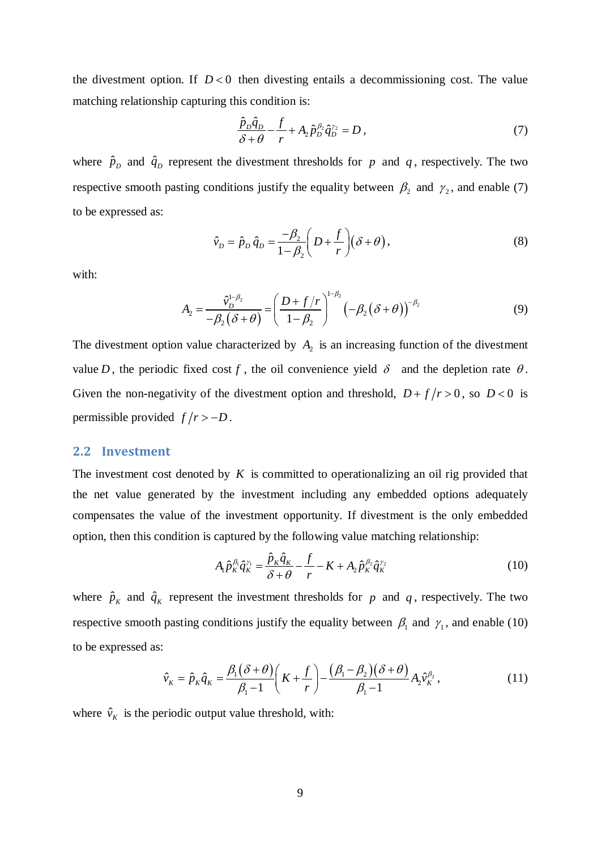the divestment option. If  $D < 0$  then divesting entails a decommissioning cost. The value matching relationship capturing this condition is:

$$
\frac{\hat{p}_D \hat{q}_D}{\delta + \theta} - \frac{f}{r} + A_2 \hat{p}_D^{\beta_2} \hat{q}_D^{\gamma_2} = D \,,\tag{7}
$$

where  $\hat{p}_D$  and  $\hat{q}_D$  represent the divestment thresholds for *p* and *q*, respectively. The two respective smooth pasting conditions justify the equality between  $\beta_2$  and  $\gamma_2$ , and enable (7) to be expressed as:

$$
\hat{v}_D = \hat{p}_D \,\hat{q}_D = \frac{-\beta_2}{1 - \beta_2} \bigg( D + \frac{f}{r} \bigg) \big( \delta + \theta \bigg),\tag{8}
$$

with:

$$
A_2 = \frac{\hat{v}_D^{1-\beta_2}}{-\beta_2(\delta+\theta)} = \left(\frac{D+f/r}{1-\beta_2}\right)^{1-\beta_2} \left(-\beta_2(\delta+\theta)\right)^{-\beta_2}
$$
(9)

The divestment option value characterized by  $A_2$  is an increasing function of the divestment value *D*, the periodic fixed cost *f*, the oil convenience yield  $\delta$  and the depletion rate  $\theta$ . Given the non-negativity of the divestment option and threshold,  $D+f/r > 0$ , so  $D < 0$  is permissible provided  $f/r > -D$ .

### **2.2 Investment**

The investment cost denoted by *K* is committed to operationalizing an oil rig provided that the net value generated by the investment including any embedded options adequately compensates the value of the investment opportunity. If divestment is the only embedded option, then this condition is captured by the following value matching relationship:

$$
A_1 \hat{p}_K^{\beta_1} \hat{q}_K^{\gamma_1} = \frac{\hat{p}_K \hat{q}_K}{\delta + \theta} - \frac{f}{r} - K + A_2 \hat{p}_K^{\beta_2} \hat{q}_K^{\gamma_2}
$$
(10)

where  $\hat{p}_K$  and  $\hat{q}_K$  represent the investment thresholds for *p* and *q*, respectively. The two respective smooth pasting conditions justify the equality between  $\beta_1$  and  $\gamma_1$ , and enable (10) to be expressed as:

$$
\hat{v}_K = \hat{p}_K \hat{q}_K = \frac{\beta_1(\delta + \theta)}{\beta_1 - 1} \left( K + \frac{f}{r} \right) - \frac{(\beta_1 - \beta_2)(\delta + \theta)}{\beta_1 - 1} A_2 \hat{v}_K^{\beta_2},\tag{11}
$$

where  $\hat{v}_k$  is the periodic output value threshold, with: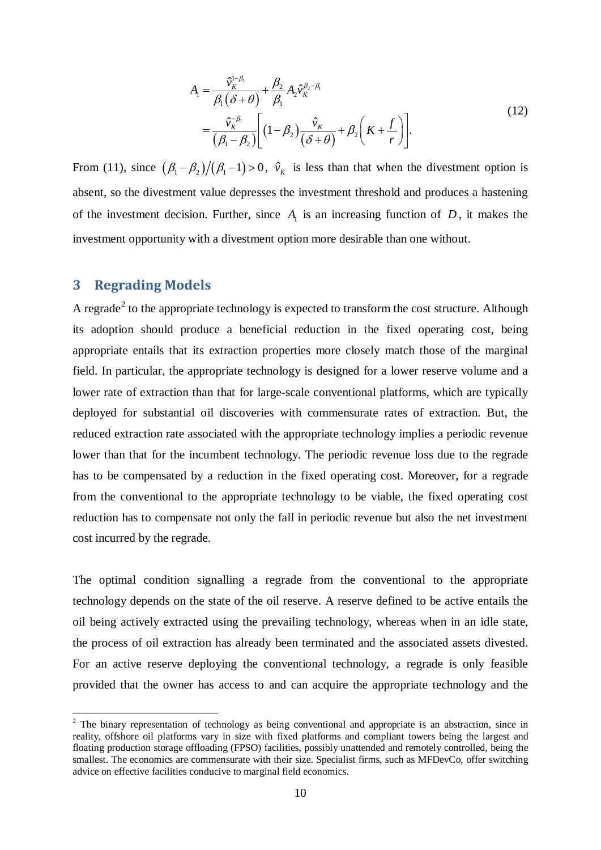$$
A_1 = \frac{\hat{v}_K^{1-\beta_1}}{\beta_1(\delta+\theta)} + \frac{\beta_2}{\beta_1} A_2 \hat{v}_K^{\beta_2-\beta_1}
$$
  
= 
$$
\frac{\hat{v}_K^{-\beta_1}}{(\beta_1-\beta_2)} \Bigg[ (1-\beta_2) \frac{\hat{v}_K}{(\delta+\theta)} + \beta_2 \Big(K + \frac{f}{r}\Big) \Bigg].
$$
 (12)

From (11), since  $(\beta_1 - \beta_2)/(\beta_1 - 1) > 0$ ,  $\hat{v}_k$  is less than that when the divestment option is absent, so the divestment value depresses the investment threshold and produces a hastening of the investment decision. Further, since  $A<sub>1</sub>$  is an increasing function of  $D$ , it makes the investment opportunity with a divestment option more desirable than one without.

# **3 Regrading Models**

A regrade<sup>[2](#page-9-0)</sup> to the appropriate technology is expected to transform the cost structure. Although its adoption should produce a beneficial reduction in the fixed operating cost, being appropriate entails that its extraction properties more closely match those of the marginal field. In particular, the appropriate technology is designed for a lower reserve volume and a lower rate of extraction than that for large-scale conventional platforms, which are typically deployed for substantial oil discoveries with commensurate rates of extraction. But, the reduced extraction rate associated with the appropriate technology implies a periodic revenue lower than that for the incumbent technology. The periodic revenue loss due to the regrade has to be compensated by a reduction in the fixed operating cost. Moreover, for a regrade from the conventional to the appropriate technology to be viable, the fixed operating cost reduction has to compensate not only the fall in periodic revenue but also the net investment cost incurred by the regrade.

The optimal condition signalling a regrade from the conventional to the appropriate technology depends on the state of the oil reserve. A reserve defined to be active entails the oil being actively extracted using the prevailing technology, whereas when in an idle state, the process of oil extraction has already been terminated and the associated assets divested. For an active reserve deploying the conventional technology, a regrade is only feasible provided that the owner has access to and can acquire the appropriate technology and the

<span id="page-9-0"></span><sup>&</sup>lt;sup>2</sup> The binary representation of technology as being conventional and appropriate is an abstraction, since in reality, offshore oil platforms vary in size with fixed platforms and compliant towers being the largest and floating production storage offloading (FPSO) facilities, possibly unattended and remotely controlled, being the smallest. The economics are commensurate with their size. Specialist firms, such as MFDevCo, offer switching advice on effective facilities conducive to marginal field economics.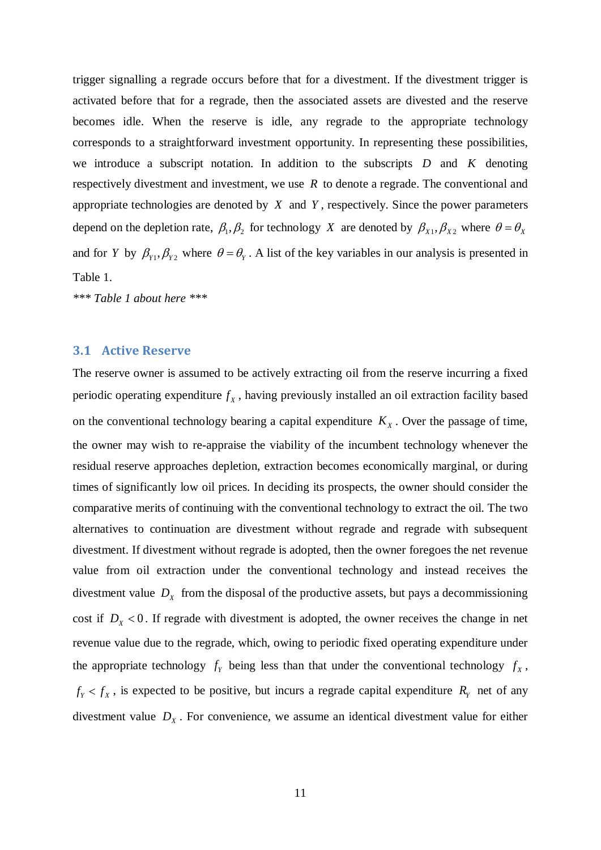trigger signalling a regrade occurs before that for a divestment. If the divestment trigger is activated before that for a regrade, then the associated assets are divested and the reserve becomes idle. When the reserve is idle, any regrade to the appropriate technology corresponds to a straightforward investment opportunity. In representing these possibilities, we introduce a subscript notation. In addition to the subscripts *D* and *K* denoting respectively divestment and investment, we use *R* to denote a regrade. The conventional and appropriate technologies are denoted by *X* and *Y* , respectively. Since the power parameters depend on the depletion rate,  $\beta_1$ ,  $\beta_2$  for technology *X* are denoted by  $\beta_{X_1}, \beta_{X_2}$  where  $\theta = \theta_X$ and for *Y* by  $\beta_{Y_1}, \beta_{Y_2}$  where  $\theta = \theta_Y$ . A list of the key variables in our analysis is presented in Table 1.

*\*\*\* Table 1 about here \*\*\**

#### **3.1 Active Reserve**

The reserve owner is assumed to be actively extracting oil from the reserve incurring a fixed periodic operating expenditure  $f<sub>x</sub>$ , having previously installed an oil extraction facility based on the conventional technology bearing a capital expenditure  $K_X$ . Over the passage of time, the owner may wish to re-appraise the viability of the incumbent technology whenever the residual reserve approaches depletion, extraction becomes economically marginal, or during times of significantly low oil prices. In deciding its prospects, the owner should consider the comparative merits of continuing with the conventional technology to extract the oil. The two alternatives to continuation are divestment without regrade and regrade with subsequent divestment. If divestment without regrade is adopted, then the owner foregoes the net revenue value from oil extraction under the conventional technology and instead receives the divestment value  $D<sub>x</sub>$  from the disposal of the productive assets, but pays a decommissioning cost if  $D_x < 0$ . If regrade with divestment is adopted, the owner receives the change in net revenue value due to the regrade, which, owing to periodic fixed operating expenditure under the appropriate technology  $f<sub>y</sub>$  being less than that under the conventional technology  $f<sub>x</sub>$ ,  $f_Y < f_X$ , is expected to be positive, but incurs a regrade capital expenditure  $R_Y$  net of any divestment value  $D<sub>x</sub>$ . For convenience, we assume an identical divestment value for either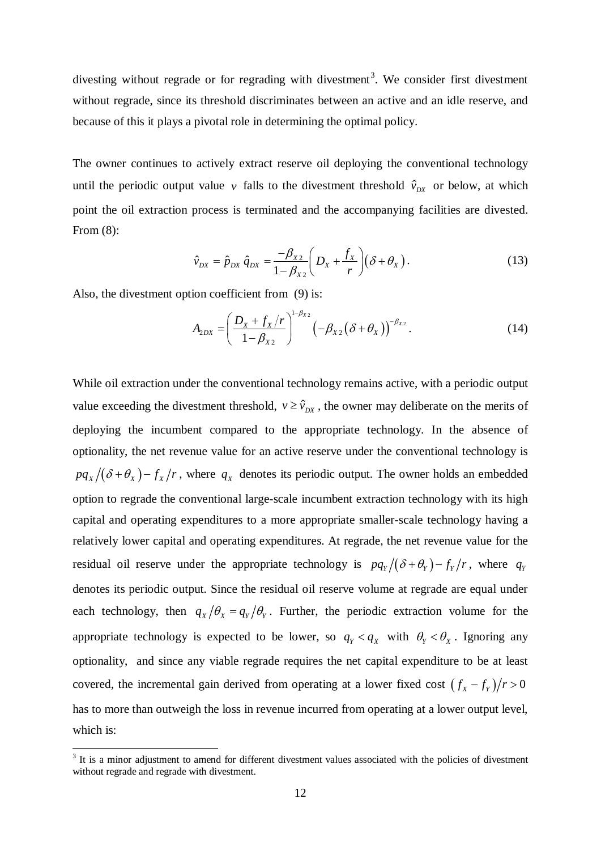divesting without regrade or for regrading with divestment<sup>[3](#page-11-0)</sup>. We consider first divestment without regrade, since its threshold discriminates between an active and an idle reserve, and because of this it plays a pivotal role in determining the optimal policy.

The owner continues to actively extract reserve oil deploying the conventional technology until the periodic output value *v* falls to the divestment threshold  $\hat{v}_{px}$  or below, at which point the oil extraction process is terminated and the accompanying facilities are divested. From (8):

$$
\hat{v}_{DX} = \hat{p}_{DX} \hat{q}_{DX} = \frac{-\beta_{X2}}{1 - \beta_{X2}} \left( D_X + \frac{f_X}{r} \right) \left( \delta + \theta_X \right). \tag{13}
$$

Also, the divestment option coefficient from (9) is:

$$
A_{2DX} = \left(\frac{D_x + f_x/r}{1 - \beta_{x2}}\right)^{1 - \beta_{x2}} \left(-\beta_{x2}(\delta + \theta_x)\right)^{-\beta_{x2}}.
$$
 (14)

While oil extraction under the conventional technology remains active, with a periodic output value exceeding the divestment threshold,  $v \geq \hat{v}_{DX}$ , the owner may deliberate on the merits of deploying the incumbent compared to the appropriate technology. In the absence of optionality, the net revenue value for an active reserve under the conventional technology is  $pq_X/(\delta + \theta_X) - f_X/r$ , where  $q_X$  denotes its periodic output. The owner holds an embedded option to regrade the conventional large-scale incumbent extraction technology with its high capital and operating expenditures to a more appropriate smaller-scale technology having a relatively lower capital and operating expenditures. At regrade, the net revenue value for the residual oil reserve under the appropriate technology is  $pq_Y/(\delta + \theta_Y) - f_Y/r$ , where  $q_Y$ denotes its periodic output. Since the residual oil reserve volume at regrade are equal under each technology, then  $q_x/\theta_x = q_y/\theta_y$ . Further, the periodic extraction volume for the appropriate technology is expected to be lower, so  $q_y < q_x$  with  $\theta_y < \theta_x$ . Ignoring any optionality, and since any viable regrade requires the net capital expenditure to be at least covered, the incremental gain derived from operating at a lower fixed cost  $(f_x - f_y)/r > 0$ has to more than outweigh the loss in revenue incurred from operating at a lower output level, which is:

<span id="page-11-0"></span><sup>&</sup>lt;sup>3</sup> It is a minor adjustment to amend for different divestment values associated with the policies of divestment without regrade and regrade with divestment.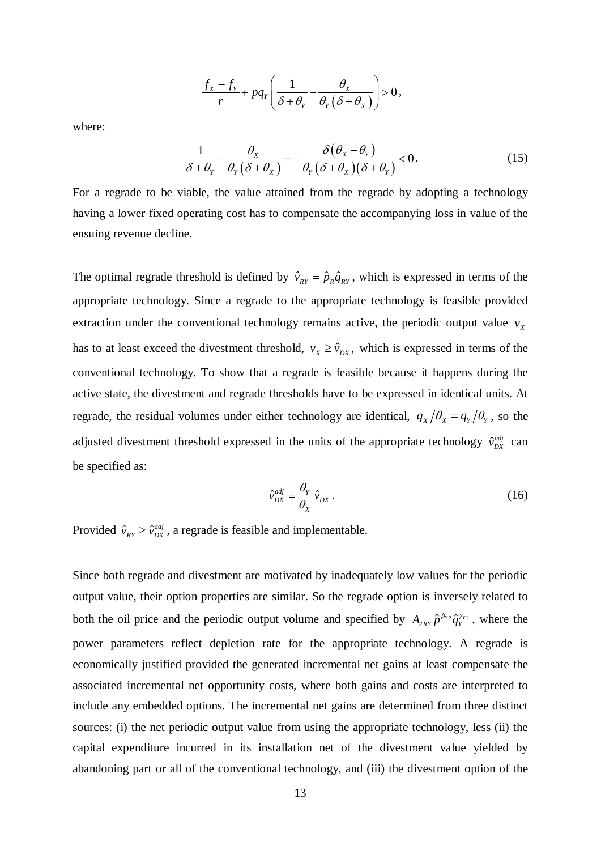$$
\frac{f_X - f_Y}{r} + pq_Y \left( \frac{1}{\delta + \theta_Y} - \frac{\theta_X}{\theta_Y(\delta + \theta_X)} \right) > 0,
$$

where:

$$
\frac{1}{\delta + \theta_{Y}} - \frac{\theta_{X}}{\theta_{Y}(\delta + \theta_{X})} = -\frac{\delta(\theta_{X} - \theta_{Y})}{\theta_{Y}(\delta + \theta_{X})(\delta + \theta_{Y})} < 0.
$$
\n(15)

For a regrade to be viable, the value attained from the regrade by adopting a technology having a lower fixed operating cost has to compensate the accompanying loss in value of the ensuing revenue decline.

The optimal regrade threshold is defined by  $\hat{v}_{RY} = \hat{p}_R \hat{q}_{RY}$ , which is expressed in terms of the appropriate technology. Since a regrade to the appropriate technology is feasible provided extraction under the conventional technology remains active, the periodic output value  $v_x$ has to at least exceed the divestment threshold,  $v_x \geq \hat{v}_{DX}$ , which is expressed in terms of the conventional technology. To show that a regrade is feasible because it happens during the active state, the divestment and regrade thresholds have to be expressed in identical units. At regrade, the residual volumes under either technology are identical,  $q_x/\theta_x = q_y/\theta_y$ , so the adjusted divestment threshold expressed in the units of the appropriate technology  $\hat{v}_{DX}^{adj}$  can be specified as:

$$
\hat{v}_{DX}^{adj} = \frac{\theta_Y}{\theta_X} \hat{v}_{DX} \,. \tag{16}
$$

Provided  $\hat{v}_{RY} \ge \hat{v}_{DX}^{adj}$ , a regrade is feasible and implementable.

Since both regrade and divestment are motivated by inadequately low values for the periodic output value, their option properties are similar. So the regrade option is inversely related to both the oil price and the periodic output volume and specified by  $A_{2RV} \hat{p}^{\beta_{Y2}} \hat{q}_Y^{\gamma_{Y2}}$ , where the power parameters reflect depletion rate for the appropriate technology. A regrade is economically justified provided the generated incremental net gains at least compensate the associated incremental net opportunity costs, where both gains and costs are interpreted to include any embedded options. The incremental net gains are determined from three distinct sources: (i) the net periodic output value from using the appropriate technology, less (ii) the capital expenditure incurred in its installation net of the divestment value yielded by abandoning part or all of the conventional technology, and (iii) the divestment option of the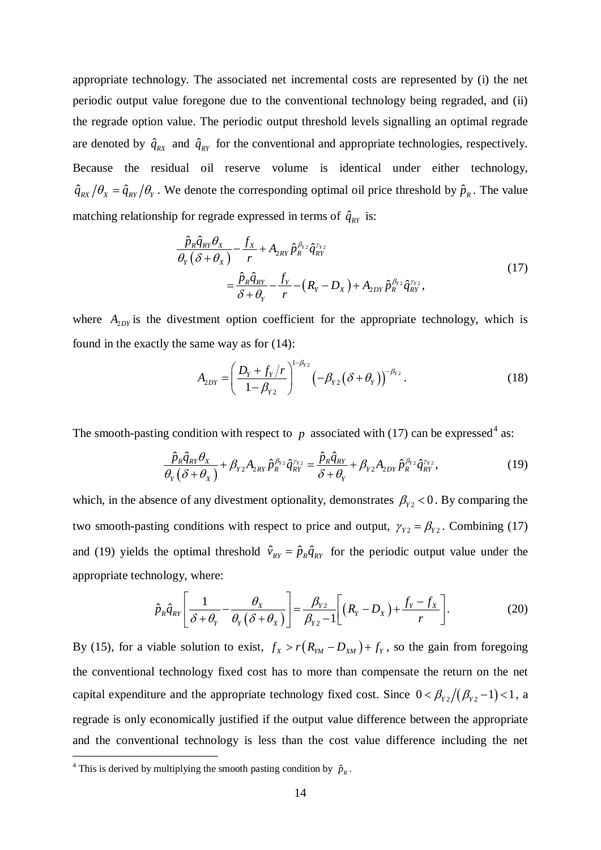appropriate technology. The associated net incremental costs are represented by (i) the net periodic output value foregone due to the conventional technology being regraded, and (ii) the regrade option value. The periodic output threshold levels signalling an optimal regrade are denoted by  $\hat{q}_{RX}$  and  $\hat{q}_{RY}$  for the conventional and appropriate technologies, respectively. Because the residual oil reserve volume is identical under either technology,  $\hat{q}_{RX}/\theta_x = \hat{q}_{RY}/\theta_y$ . We denote the corresponding optimal oil price threshold by  $\hat{p}_R$ . The value matching relationship for regrade expressed in terms of  $\hat{q}_{RY}$  is:

$$
\frac{\hat{p}_R \hat{q}_{RY} \theta_X}{\theta_Y (\delta + \theta_X)} - \frac{f_X}{r} + A_{2RY} \hat{p}_R^{\beta_{Y2}} \hat{q}_{RY}^{\gamma_{Y2}} \n= \frac{\hat{p}_R \hat{q}_{RY}}{\delta + \theta_Y} - \frac{f_Y}{r} - (R_Y - D_X) + A_{2DY} \hat{p}_R^{\beta_{Y2}} \hat{q}_{RY}^{\gamma_{Y2}},
$$
\n(17)

where  $A_{2DY}$  is the divestment option coefficient for the appropriate technology, which is found in the exactly the same way as for (14):

$$
A_{2DY} = \left(\frac{D_{Y} + f_{Y}/r}{1 - \beta_{Y2}}\right)^{1 - \beta_{Y2}} \left(-\beta_{Y2}(\delta + \theta_{Y})\right)^{-\beta_{Y2}}.
$$
 (18)

The smooth-pasting condition with respect to  $p$  associated with (17) can be expressed<sup>[4](#page-13-0)</sup> as:

$$
\frac{\hat{p}_{R}\hat{q}_{RY}\theta_{X}}{\theta_{Y}(\delta+\theta_{X})} + \beta_{Y2}A_{2RY}\hat{p}_{R}^{\beta_{Y2}}\hat{q}_{RY}^{\gamma_{Y2}} = \frac{\hat{p}_{R}\hat{q}_{RY}}{\delta+\theta_{Y}} + \beta_{Y2}A_{2DY}\hat{p}_{R}^{\beta_{Y2}}\hat{q}_{RY}^{\gamma_{Y2}},
$$
(19)

which, in the absence of any divestment optionality, demonstrates  $\beta_{y_2}$  < 0. By comparing the two smooth-pasting conditions with respect to price and output,  $\gamma_{Y2} = \beta_{Y2}$ . Combining (17) and (19) yields the optimal threshold  $\hat{v}_{RY} = \hat{p}_R \hat{q}_{RY}$  for the periodic output value under the appropriate technology, where:

$$
\hat{p}_R \hat{q}_{RT} \left[ \frac{1}{\delta + \theta_Y} - \frac{\theta_X}{\theta_Y (\delta + \theta_X)} \right] = \frac{\beta_{Y2}}{\beta_{Y2} - 1} \left[ \left( R_Y - D_X \right) + \frac{f_Y - f_X}{r} \right].
$$
\n(20)

By (15), for a viable solution to exist,  $f_x > r(R_{YM} - D_{XM}) + f_y$ , so the gain from foregoing the conventional technology fixed cost has to more than compensate the return on the net capital expenditure and the appropriate technology fixed cost. Since  $0 < \beta_{Y2}/(\beta_{Y2}-1) < 1$ , a regrade is only economically justified if the output value difference between the appropriate and the conventional technology is less than the cost value difference including the net

<span id="page-13-0"></span><sup>&</sup>lt;sup>4</sup> This is derived by multiplying the smooth pasting condition by  $\hat{p}_R$ .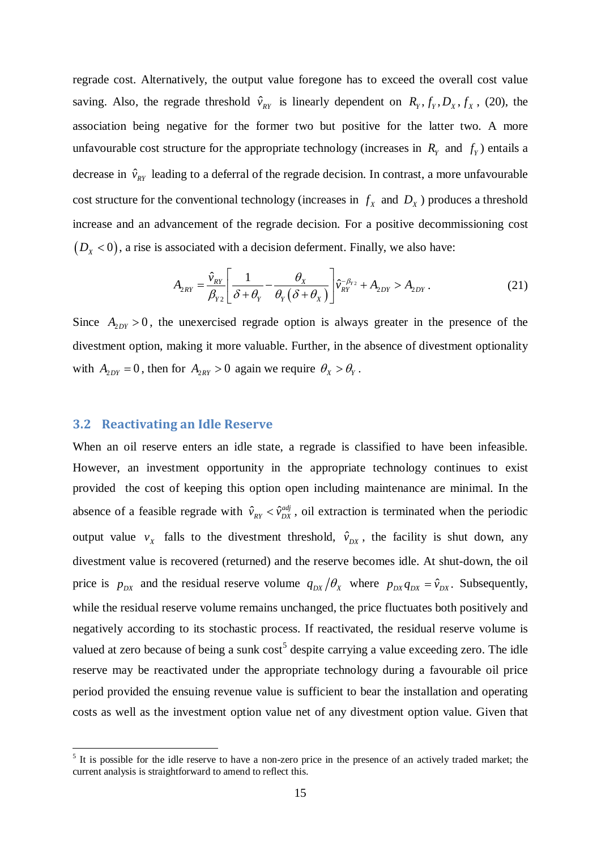regrade cost. Alternatively, the output value foregone has to exceed the overall cost value saving. Also, the regrade threshold  $\hat{v}_{RY}$  is linearly dependent on  $R_y, f_y, D_x, f_x$ , (20), the association being negative for the former two but positive for the latter two. A more unfavourable cost structure for the appropriate technology (increases in  $R<sub>y</sub>$  and  $f<sub>y</sub>$ ) entails a decrease in  $\hat{v}_{\text{av}}$  leading to a deferral of the regrade decision. In contrast, a more unfavourable cost structure for the conventional technology (increases in  $f_x$  and  $D_x$ ) produces a threshold increase and an advancement of the regrade decision. For a positive decommissioning cost  $(D_x < 0)$ , a rise is associated with a decision deferment. Finally, we also have:

$$
A_{2RY} = \frac{\hat{v}_{RY}}{\beta_{Y2}} \left[ \frac{1}{\delta + \theta_Y} - \frac{\theta_X}{\theta_Y (\delta + \theta_X)} \right] \hat{v}_{RY}^{-\beta_{Y2}} + A_{2DY} > A_{2DY}.
$$
 (21)

Since  $A_{2DY} > 0$ , the unexercised regrade option is always greater in the presence of the divestment option, making it more valuable. Further, in the absence of divestment optionality with  $A_{2DY} = 0$ , then for  $A_{2RY} > 0$  again we require  $\theta_X > \theta_Y$ .

## **3.2 Reactivating an Idle Reserve**

When an oil reserve enters an idle state, a regrade is classified to have been infeasible. However, an investment opportunity in the appropriate technology continues to exist provided the cost of keeping this option open including maintenance are minimal. In the absence of a feasible regrade with  $\hat{v}_{RY} < \hat{v}_{DX}^{adj}$ , oil extraction is terminated when the periodic output value  $v_x$  falls to the divestment threshold,  $\hat{v}_{px}$ , the facility is shut down, any divestment value is recovered (returned) and the reserve becomes idle. At shut-down, the oil price is  $p_{DX}$  and the residual reserve volume  $q_{DX}/\theta_x$  where  $p_{DX}q_{DX} = \hat{v}_{DX}$ . Subsequently, while the residual reserve volume remains unchanged, the price fluctuates both positively and negatively according to its stochastic process. If reactivated, the residual reserve volume is valued at zero because of being a sunk  $cost<sup>5</sup>$  $cost<sup>5</sup>$  $cost<sup>5</sup>$  despite carrying a value exceeding zero. The idle reserve may be reactivated under the appropriate technology during a favourable oil price period provided the ensuing revenue value is sufficient to bear the installation and operating costs as well as the investment option value net of any divestment option value. Given that

<span id="page-14-0"></span><sup>&</sup>lt;sup>5</sup> It is possible for the idle reserve to have a non-zero price in the presence of an actively traded market; the current analysis is straightforward to amend to reflect this.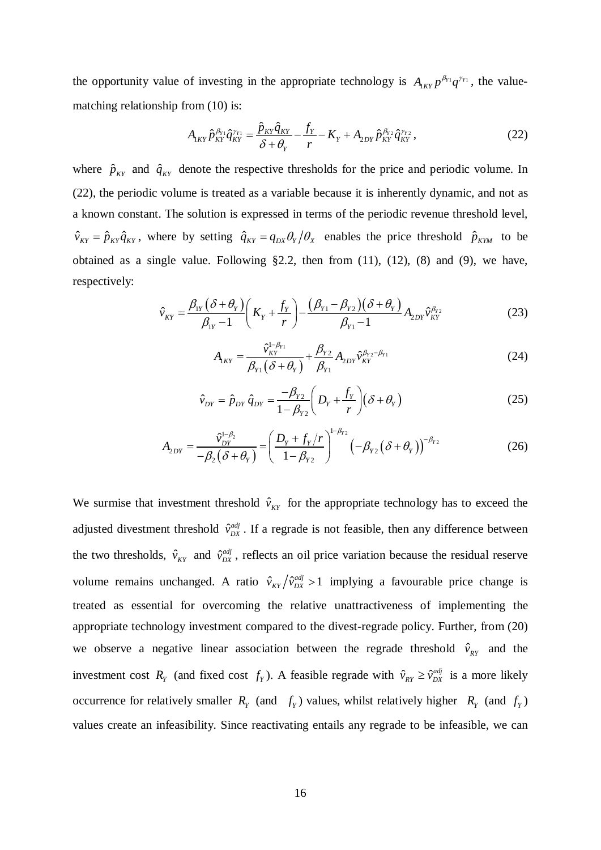the opportunity value of investing in the appropriate technology is  $A_{1\kappa Y} p^{\beta_{Y_1}} q^{\gamma_{Y_1}}$ , the valuematching relationship from (10) is:

$$
A_{1KY}\hat{p}_{KY}^{\beta_{Y1}}\hat{q}_{KY}^{\gamma_{Y1}} = \frac{\hat{p}_{KY}\hat{q}_{KY}}{\delta + \theta_Y} - \frac{f_Y}{r} - K_Y + A_{2DY}\hat{p}_{KY}^{\beta_{Y2}}\hat{q}_{KY}^{\gamma_{Y2}},
$$
(22)

where  $\hat{p}_{KY}$  and  $\hat{q}_{KY}$  denote the respective thresholds for the price and periodic volume. In (22), the periodic volume is treated as a variable because it is inherently dynamic, and not as a known constant. The solution is expressed in terms of the periodic revenue threshold level,  $\hat{v}_{KY} = \hat{p}_{KY}\hat{q}_{KY}$ , where by setting  $\hat{q}_{KY} = q_{DX}\theta_Y/\theta_X$  enables the price threshold  $\hat{p}_{KW}$  to be obtained as a single value. Following §2.2, then from (11), (12), (8) and (9), we have, respectively:

$$
\hat{v}_{KY} = \frac{\beta_{1Y} (\delta + \theta_Y)}{\beta_{1Y} - 1} \left( K_Y + \frac{f_Y}{r} \right) - \frac{(\beta_{Y1} - \beta_{Y2}) (\delta + \theta_Y)}{\beta_{Y1} - 1} A_{2DY} \hat{v}_{KY}^{\beta_{Y2}}
$$
(23)

$$
A_{1KY} = \frac{\hat{v}_{KY}^{1-\beta_{Y1}}}{\beta_{Y1}(\delta + \theta_Y)} + \frac{\beta_{Y2}}{\beta_{Y1}} A_{2DY} \hat{v}_{KY}^{\beta_{Y2} - \beta_{Y1}}
$$
(24)

$$
\hat{v}_{DY} = \hat{p}_{DY}\,\hat{q}_{DY} = \frac{-\beta_{Y2}}{1 - \beta_{Y2}} \bigg( D_Y + \frac{f_Y}{r} \bigg) (\delta + \theta_Y) \tag{25}
$$

$$
A_{2DY} = \frac{\hat{v}_{DY}^{1-\beta_2}}{-\beta_2(\delta + \theta_Y)} = \left(\frac{D_Y + f_Y/r}{1-\beta_{Y2}}\right)^{1-\beta_{Y2}} \left(-\beta_{Y2}(\delta + \theta_Y)\right)^{-\beta_{Y2}}
$$
(26)

We surmise that investment threshold  $\hat{v}_{KY}$  for the appropriate technology has to exceed the adjusted divestment threshold  $\hat{v}_{DX}^{adj}$ . If a regrade is not feasible, then any difference between the two thresholds,  $\hat{v}_{KY}$  and  $\hat{v}_{DX}^{adj}$ , reflects an oil price variation because the residual reserve volume remains unchanged. A ratio  $\hat{v}_{KY}/\hat{v}_{DX}^{adj} > 1$  implying a favourable price change is treated as essential for overcoming the relative unattractiveness of implementing the appropriate technology investment compared to the divest-regrade policy. Further, from (20) we observe a negative linear association between the regrade threshold  $\hat{v}_{RY}$  and the investment cost  $R_Y$  (and fixed cost  $f_Y$ ). A feasible regrade with  $\hat{v}_{RY} \ge \hat{v}_{DX}^{adj}$  is a more likely occurrence for relatively smaller  $R_Y$  (and  $f_Y$ ) values, whilst relatively higher  $R_Y$  (and  $f_Y$ ) values create an infeasibility. Since reactivating entails any regrade to be infeasible, we can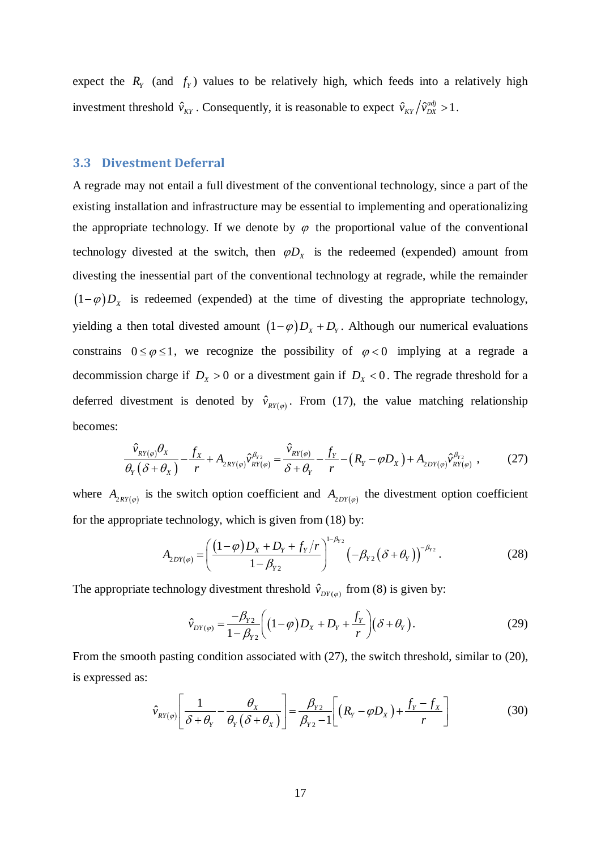expect the  $R<sub>y</sub>$  (and  $f<sub>y</sub>$ ) values to be relatively high, which feeds into a relatively high investment threshold  $\hat{v}_{KY}$ . Consequently, it is reasonable to expect  $\hat{v}_{KY}/\hat{v}_{DX}^{adj} > 1$ .

## **3.3 Divestment Deferral**

A regrade may not entail a full divestment of the conventional technology, since a part of the existing installation and infrastructure may be essential to implementing and operationalizing the appropriate technology. If we denote by  $\varphi$  the proportional value of the conventional technology divested at the switch, then  $\varphi D_x$  is the redeemed (expended) amount from divesting the inessential part of the conventional technology at regrade, while the remainder  $(1-\varphi)D_x$  is redeemed (expended) at the time of divesting the appropriate technology, yielding a then total divested amount  $(1-\varphi)D_x + D_y$ . Although our numerical evaluations constrains  $0 \le \varphi \le 1$ , we recognize the possibility of  $\varphi < 0$  implying at a regrade a decommission charge if  $D_x > 0$  or a divestment gain if  $D_x < 0$ . The regrade threshold for a deferred divestment is denoted by  $\hat{v}_{RY(\varphi)}$ . From (17), the value matching relationship becomes:

$$
\frac{\hat{v}_{\text{RY}(\varphi)}\theta_{X}}{\theta_{Y}(\delta+\theta_{X})}-\frac{f_{X}}{r}+A_{2\text{RY}(\varphi)}\hat{v}_{\text{RY}(\varphi)}^{\beta_{Y2}}=\frac{\hat{v}_{\text{RY}(\varphi)}}{\delta+\theta_{Y}}-\frac{f_{Y}}{r}-\left(R_{Y}-\varphi D_{X}\right)+A_{2\text{DY}(\varphi)}\hat{v}_{\text{RY}(\varphi)}^{\beta_{Y2}}\,,\tag{27}
$$

where  $A_{2RV(\varphi)}$  is the switch option coefficient and  $A_{2DY(\varphi)}$  the divestment option coefficient for the appropriate technology, which is given from (18) by:

$$
A_{2DY(\varphi)} = \left(\frac{(1-\varphi)D_x + D_y + f_y/r}{1-\beta_{Y2}}\right)^{1-\beta_{Y2}} \left(-\beta_{Y2}(\delta + \theta_Y)\right)^{-\beta_{Y2}}.
$$
 (28)

The appropriate technology divestment threshold  $\hat{v}_{DY(\varphi)}$  from (8) is given by:

$$
\hat{v}_{DY(\varphi)} = \frac{-\beta_{Y2}}{1 - \beta_{Y2}} \bigg( (1 - \varphi) D_X + D_Y + \frac{f_Y}{r} \bigg) (\delta + \theta_Y).
$$
\n(29)

From the smooth pasting condition associated with (27), the switch threshold, similar to (20), is expressed as:

$$
\hat{v}_{\text{RY}(\varphi)} \left[ \frac{1}{\delta + \theta_{\text{Y}}} - \frac{\theta_{\text{X}}}{\theta_{\text{Y}} (\delta + \theta_{\text{X}})} \right] = \frac{\beta_{\text{Y2}}}{\beta_{\text{Y2}} - 1} \left[ \left( R_{\text{Y}} - \varphi D_{\text{X}} \right) + \frac{f_{\text{Y}} - f_{\text{X}}}{r} \right] \tag{30}
$$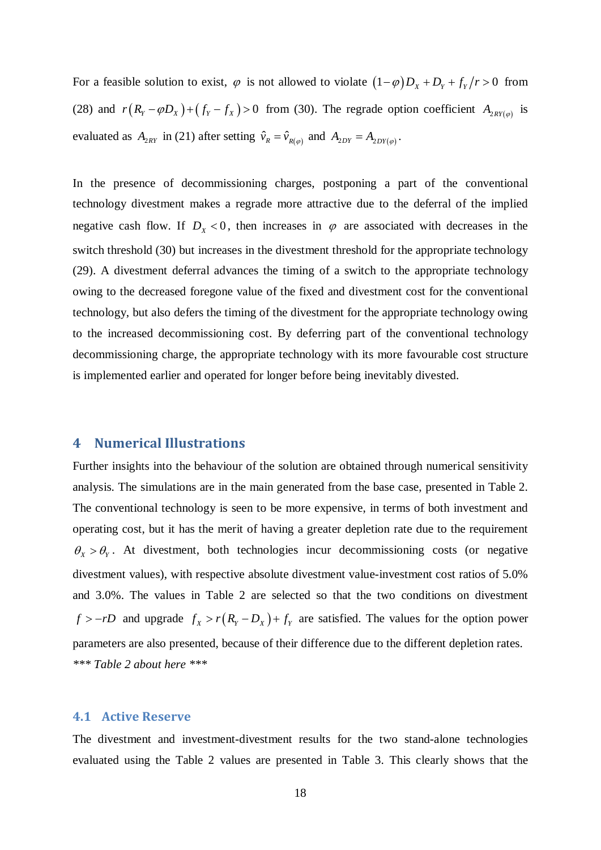For a feasible solution to exist,  $\varphi$  is not allowed to violate  $(1 - \varphi)D_x + D_y + f_y/r > 0$  from (28) and  $r(R_y - \varphi D_x) + (f_y - f_x) > 0$  from (30). The regrade option coefficient  $A_{2RV(\varphi)}$  is evaluated as  $A_{2RY}$  in (21) after setting  $\hat{v}_R = \hat{v}_{R(\varphi)}$  and  $A_{2DY} = A_{2DY(\varphi)}$ .

In the presence of decommissioning charges, postponing a part of the conventional technology divestment makes a regrade more attractive due to the deferral of the implied negative cash flow. If  $D_x < 0$ , then increases in  $\varphi$  are associated with decreases in the switch threshold (30) but increases in the divestment threshold for the appropriate technology (29). A divestment deferral advances the timing of a switch to the appropriate technology owing to the decreased foregone value of the fixed and divestment cost for the conventional technology, but also defers the timing of the divestment for the appropriate technology owing to the increased decommissioning cost. By deferring part of the conventional technology decommissioning charge, the appropriate technology with its more favourable cost structure is implemented earlier and operated for longer before being inevitably divested.

# **4 Numerical Illustrations**

Further insights into the behaviour of the solution are obtained through numerical sensitivity analysis. The simulations are in the main generated from the base case, presented in Table 2. The conventional technology is seen to be more expensive, in terms of both investment and operating cost, but it has the merit of having a greater depletion rate due to the requirement  $\theta_x > \theta_y$ . At divestment, both technologies incur decommissioning costs (or negative divestment values), with respective absolute divestment value-investment cost ratios of 5.0% and 3.0%. The values in Table 2 are selected so that the two conditions on divestment  $f > -rD$  and upgrade  $f_x > r(R_y - D_x) + f_y$  are satisfied. The values for the option power parameters are also presented, because of their difference due to the different depletion rates. *\*\*\* Table 2 about here \*\*\**

#### **4.1 Active Reserve**

The divestment and investment-divestment results for the two stand-alone technologies evaluated using the Table 2 values are presented in Table 3. This clearly shows that the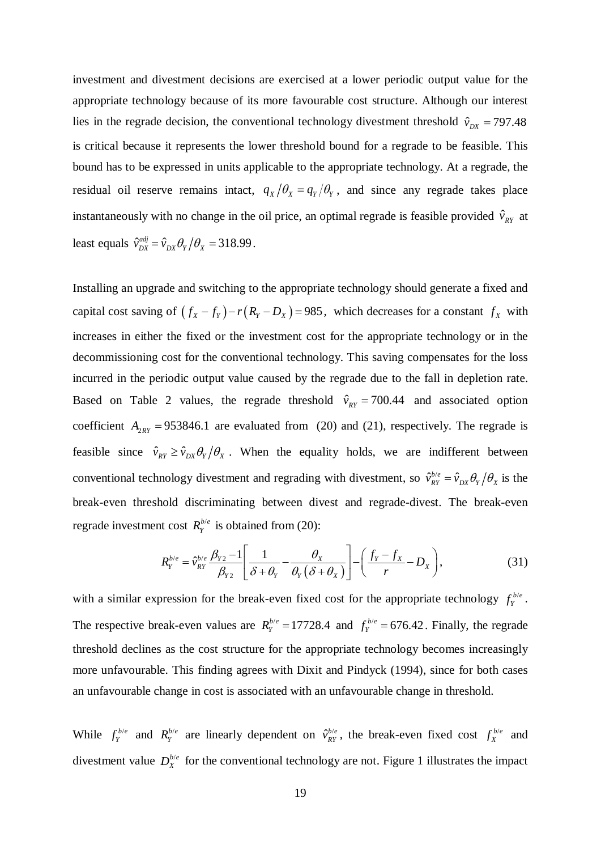investment and divestment decisions are exercised at a lower periodic output value for the appropriate technology because of its more favourable cost structure. Although our interest lies in the regrade decision, the conventional technology divestment threshold  $\hat{v}_{px}$  = 797.48 is critical because it represents the lower threshold bound for a regrade to be feasible. This bound has to be expressed in units applicable to the appropriate technology. At a regrade, the residual oil reserve remains intact,  $q_x/\theta_x = q_y/\theta_y$ , and since any regrade takes place instantaneously with no change in the oil price, an optimal regrade is feasible provided  $\hat{v}_{RT}$  at least equals  $\hat{v}_{DX}^{adj} = \hat{v}_{DX} \theta_Y / \theta_X = 318.99$ .

Installing an upgrade and switching to the appropriate technology should generate a fixed and capital cost saving of  $(f_x - f_y) - r(R_y - D_x) = 985$ , which decreases for a constant  $f_x$  with increases in either the fixed or the investment cost for the appropriate technology or in the decommissioning cost for the conventional technology. This saving compensates for the loss incurred in the periodic output value caused by the regrade due to the fall in depletion rate. Based on Table 2 values, the regrade threshold  $\hat{v}_{RT} = 700.44$  and associated option coefficient  $A_{2RY} = 953846.1$  are evaluated from (20) and (21), respectively. The regrade is feasible since  $\hat{v}_{RT} \ge \hat{v}_{DX} \theta_Y / \theta_X$ . When the equality holds, we are indifferent between conventional technology divestment and regrading with divestment, so  $\hat{v}_{RY}^{b/e} = \hat{v}_{DX} \theta_Y / \theta_X$  is the break-even threshold discriminating between divest and regrade-divest. The break-even regrade investment cost  $R_Y^{b/e}$  is obtained from (20):

$$
R_Y^{b/e} = \hat{v}_{RY}^{b/e} \frac{\beta_{Y2} - 1}{\beta_{Y2}} \left[ \frac{1}{\delta + \theta_Y} - \frac{\theta_X}{\theta_Y(\delta + \theta_X)} \right] - \left( \frac{f_Y - f_X}{r} - D_X \right), \tag{31}
$$

with a similar expression for the break-even fixed cost for the appropriate technology  $f_Y^{b/e}$ . The respective break-even values are  $R_Y^{b/e} = 17728.4$  and  $f_Y^{b/e} = 676.42$ . Finally, the regrade threshold declines as the cost structure for the appropriate technology becomes increasingly more unfavourable. This finding agrees with Dixit and Pindyck (1994), since for both cases an unfavourable change in cost is associated with an unfavourable change in threshold.

While  $f_Y^{b/e}$  and  $R_Y^{b/e}$  are linearly dependent on  $\hat{v}_{RY}^{b/e}$ , the break-even fixed cost  $f_X^{b/e}$  and divestment value  $D_X^{b/e}$  for the conventional technology are not. Figure 1 illustrates the impact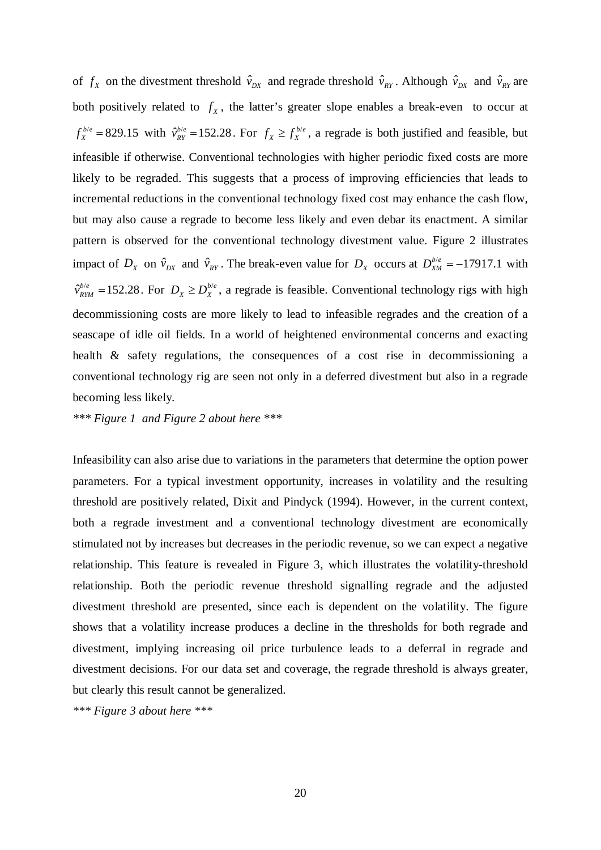of  $f_X$  on the divestment threshold  $\hat{v}_{DX}$  and regrade threshold  $\hat{v}_{RY}$ . Although  $\hat{v}_{DX}$  and  $\hat{v}_{RY}$  are both positively related to  $f<sub>x</sub>$ , the latter's greater slope enables a break-even to occur at  $f_X^{b/e} = 829.15$  with  $\hat{v}_{RY}^{b/e} = 152.28$ . For  $f_X \ge f_X^{b/e}$ , a regrade is both justified and feasible, but infeasible if otherwise. Conventional technologies with higher periodic fixed costs are more likely to be regraded. This suggests that a process of improving efficiencies that leads to incremental reductions in the conventional technology fixed cost may enhance the cash flow, but may also cause a regrade to become less likely and even debar its enactment. A similar pattern is observed for the conventional technology divestment value. Figure 2 illustrates impact of  $D_X$  on  $\hat{v}_{DX}$  and  $\hat{v}_{RY}$ . The break-even value for  $D_X$  occurs at  $D_{XM}^{b/e} = -17917.1$  with  $\hat{v}_{RYM}^{b/e}$  = 152.28. For  $D_x \ge D_X^{b/e}$ , a regrade is feasible. Conventional technology rigs with high decommissioning costs are more likely to lead to infeasible regrades and the creation of a seascape of idle oil fields. In a world of heightened environmental concerns and exacting health & safety regulations, the consequences of a cost rise in decommissioning a conventional technology rig are seen not only in a deferred divestment but also in a regrade becoming less likely.

*\*\*\* Figure 1 and Figure 2 about here \*\*\**

Infeasibility can also arise due to variations in the parameters that determine the option power parameters. For a typical investment opportunity, increases in volatility and the resulting threshold are positively related, Dixit and Pindyck (1994). However, in the current context, both a regrade investment and a conventional technology divestment are economically stimulated not by increases but decreases in the periodic revenue, so we can expect a negative relationship. This feature is revealed in Figure 3, which illustrates the volatility-threshold relationship. Both the periodic revenue threshold signalling regrade and the adjusted divestment threshold are presented, since each is dependent on the volatility. The figure shows that a volatility increase produces a decline in the thresholds for both regrade and divestment, implying increasing oil price turbulence leads to a deferral in regrade and divestment decisions. For our data set and coverage, the regrade threshold is always greater, but clearly this result cannot be generalized.

*\*\*\* Figure 3 about here \*\*\**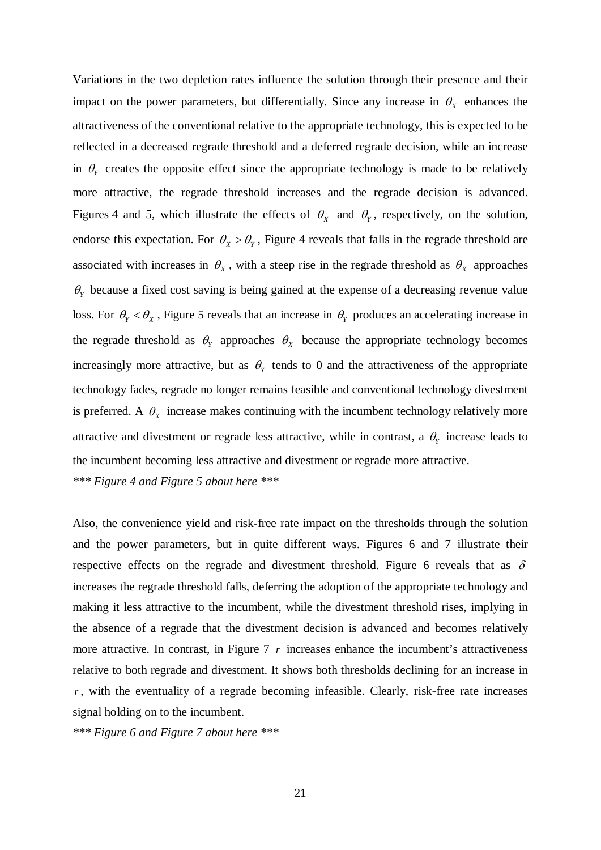Variations in the two depletion rates influence the solution through their presence and their impact on the power parameters, but differentially. Since any increase in  $\theta_x$  enhances the attractiveness of the conventional relative to the appropriate technology, this is expected to be reflected in a decreased regrade threshold and a deferred regrade decision, while an increase in  $\theta$ <sub>*Y*</sub> creates the opposite effect since the appropriate technology is made to be relatively more attractive, the regrade threshold increases and the regrade decision is advanced. Figures 4 and 5, which illustrate the effects of  $\theta_x$  and  $\theta_y$ , respectively, on the solution, endorse this expectation. For  $\theta_x > \theta_y$ , Figure 4 reveals that falls in the regrade threshold are associated with increases in  $\theta_x$ , with a steep rise in the regrade threshold as  $\theta_x$  approaches  $\theta$ <sub>*r*</sub> because a fixed cost saving is being gained at the expense of a decreasing revenue value loss. For  $\theta_{\rm y} < \theta_{\rm x}$ , Figure 5 reveals that an increase in  $\theta_{\rm y}$  produces an accelerating increase in the regrade threshold as  $\theta_{\rm Y}$  approaches  $\theta_{\rm X}$  because the appropriate technology becomes increasingly more attractive, but as  $\theta$ <sub>*y*</sub> tends to 0 and the attractiveness of the appropriate technology fades, regrade no longer remains feasible and conventional technology divestment is preferred. A  $\theta_x$  increase makes continuing with the incumbent technology relatively more attractive and divestment or regrade less attractive, while in contrast, a  $\theta$ <sub>*Y*</sub> increase leads to the incumbent becoming less attractive and divestment or regrade more attractive. *\*\*\* Figure 4 and Figure 5 about here \*\*\**

Also, the convenience yield and risk-free rate impact on the thresholds through the solution and the power parameters, but in quite different ways. Figures 6 and 7 illustrate their respective effects on the regrade and divestment threshold. Figure 6 reveals that as  $\delta$ increases the regrade threshold falls, deferring the adoption of the appropriate technology and making it less attractive to the incumbent, while the divestment threshold rises, implying in the absence of a regrade that the divestment decision is advanced and becomes relatively more attractive. In contrast, in Figure  $7 \, r$  increases enhance the incumbent's attractiveness relative to both regrade and divestment. It shows both thresholds declining for an increase in *r* , with the eventuality of a regrade becoming infeasible. Clearly, risk-free rate increases signal holding on to the incumbent.

*\*\*\* Figure 6 and Figure 7 about here \*\*\**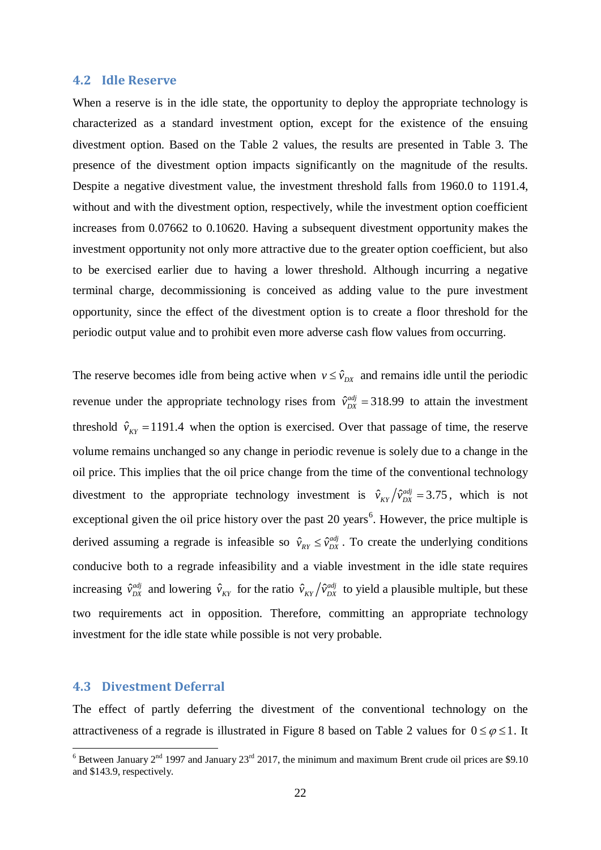#### **4.2 Idle Reserve**

When a reserve is in the idle state, the opportunity to deploy the appropriate technology is characterized as a standard investment option, except for the existence of the ensuing divestment option. Based on the Table 2 values, the results are presented in Table 3. The presence of the divestment option impacts significantly on the magnitude of the results. Despite a negative divestment value, the investment threshold falls from 1960.0 to 1191.4, without and with the divestment option, respectively, while the investment option coefficient increases from 0.07662 to 0.10620. Having a subsequent divestment opportunity makes the investment opportunity not only more attractive due to the greater option coefficient, but also to be exercised earlier due to having a lower threshold. Although incurring a negative terminal charge, decommissioning is conceived as adding value to the pure investment opportunity, since the effect of the divestment option is to create a floor threshold for the periodic output value and to prohibit even more adverse cash flow values from occurring.

The reserve becomes idle from being active when  $v \leq \hat{v}_{px}$  and remains idle until the periodic revenue under the appropriate technology rises from  $\hat{v}_{DX}^{adj} = 318.99$  to attain the investment threshold  $\hat{v}_{KT}$  = 1191.4 when the option is exercised. Over that passage of time, the reserve volume remains unchanged so any change in periodic revenue is solely due to a change in the oil price. This implies that the oil price change from the time of the conventional technology divestment to the appropriate technology investment is  $\hat{v}_{KY}/\hat{v}_{DX}^{adj} = 3.75$ , which is not exceptional given the oil price history over the past 20 years<sup>[6](#page-21-0)</sup>. However, the price multiple is derived assuming a regrade is infeasible so  $\hat{v}_{RY} \leq \hat{v}_{DX}^{adj}$ . To create the underlying conditions conducive both to a regrade infeasibility and a viable investment in the idle state requires increasing  $\hat{v}_{DX}^{adj}$  and lowering  $\hat{v}_{KY}$  for the ratio  $\hat{v}_{KY}/\hat{v}_{DX}^{adj}$  to yield a plausible multiple, but these two requirements act in opposition. Therefore, committing an appropriate technology investment for the idle state while possible is not very probable.

### **4.3 Divestment Deferral**

The effect of partly deferring the divestment of the conventional technology on the attractiveness of a regrade is illustrated in Figure 8 based on Table 2 values for  $0 \le \varphi \le 1$ . It

<span id="page-21-0"></span> $6$  Between January 2<sup>nd</sup> 1997 and January 23<sup>rd</sup> 2017, the minimum and maximum Brent crude oil prices are \$9.10 and \$143.9, respectively.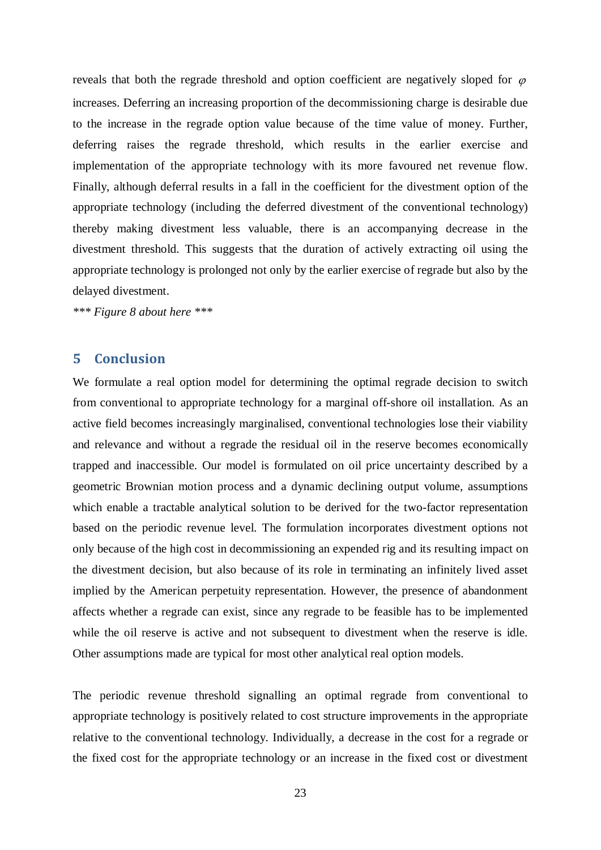reveals that both the regrade threshold and option coefficient are negatively sloped for  $\varphi$ increases. Deferring an increasing proportion of the decommissioning charge is desirable due to the increase in the regrade option value because of the time value of money. Further, deferring raises the regrade threshold, which results in the earlier exercise and implementation of the appropriate technology with its more favoured net revenue flow. Finally, although deferral results in a fall in the coefficient for the divestment option of the appropriate technology (including the deferred divestment of the conventional technology) thereby making divestment less valuable, there is an accompanying decrease in the divestment threshold. This suggests that the duration of actively extracting oil using the appropriate technology is prolonged not only by the earlier exercise of regrade but also by the delayed divestment.

*\*\*\* Figure 8 about here \*\*\**

# **5 Conclusion**

We formulate a real option model for determining the optimal regrade decision to switch from conventional to appropriate technology for a marginal off-shore oil installation. As an active field becomes increasingly marginalised, conventional technologies lose their viability and relevance and without a regrade the residual oil in the reserve becomes economically trapped and inaccessible. Our model is formulated on oil price uncertainty described by a geometric Brownian motion process and a dynamic declining output volume, assumptions which enable a tractable analytical solution to be derived for the two-factor representation based on the periodic revenue level. The formulation incorporates divestment options not only because of the high cost in decommissioning an expended rig and its resulting impact on the divestment decision, but also because of its role in terminating an infinitely lived asset implied by the American perpetuity representation. However, the presence of abandonment affects whether a regrade can exist, since any regrade to be feasible has to be implemented while the oil reserve is active and not subsequent to divestment when the reserve is idle. Other assumptions made are typical for most other analytical real option models.

The periodic revenue threshold signalling an optimal regrade from conventional to appropriate technology is positively related to cost structure improvements in the appropriate relative to the conventional technology. Individually, a decrease in the cost for a regrade or the fixed cost for the appropriate technology or an increase in the fixed cost or divestment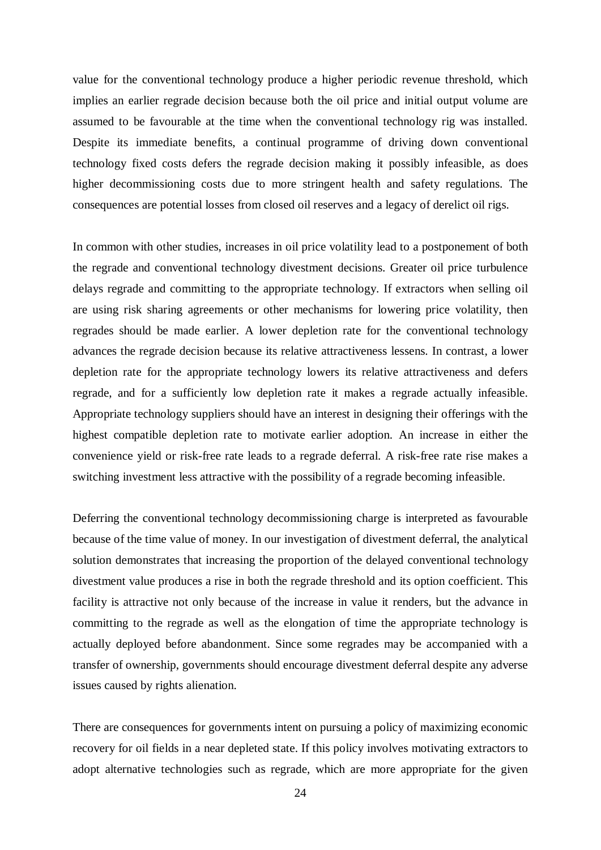value for the conventional technology produce a higher periodic revenue threshold, which implies an earlier regrade decision because both the oil price and initial output volume are assumed to be favourable at the time when the conventional technology rig was installed. Despite its immediate benefits, a continual programme of driving down conventional technology fixed costs defers the regrade decision making it possibly infeasible, as does higher decommissioning costs due to more stringent health and safety regulations. The consequences are potential losses from closed oil reserves and a legacy of derelict oil rigs.

In common with other studies, increases in oil price volatility lead to a postponement of both the regrade and conventional technology divestment decisions. Greater oil price turbulence delays regrade and committing to the appropriate technology. If extractors when selling oil are using risk sharing agreements or other mechanisms for lowering price volatility, then regrades should be made earlier. A lower depletion rate for the conventional technology advances the regrade decision because its relative attractiveness lessens. In contrast, a lower depletion rate for the appropriate technology lowers its relative attractiveness and defers regrade, and for a sufficiently low depletion rate it makes a regrade actually infeasible. Appropriate technology suppliers should have an interest in designing their offerings with the highest compatible depletion rate to motivate earlier adoption. An increase in either the convenience yield or risk-free rate leads to a regrade deferral. A risk-free rate rise makes a switching investment less attractive with the possibility of a regrade becoming infeasible.

Deferring the conventional technology decommissioning charge is interpreted as favourable because of the time value of money. In our investigation of divestment deferral, the analytical solution demonstrates that increasing the proportion of the delayed conventional technology divestment value produces a rise in both the regrade threshold and its option coefficient. This facility is attractive not only because of the increase in value it renders, but the advance in committing to the regrade as well as the elongation of time the appropriate technology is actually deployed before abandonment. Since some regrades may be accompanied with a transfer of ownership, governments should encourage divestment deferral despite any adverse issues caused by rights alienation.

There are consequences for governments intent on pursuing a policy of maximizing economic recovery for oil fields in a near depleted state. If this policy involves motivating extractors to adopt alternative technologies such as regrade, which are more appropriate for the given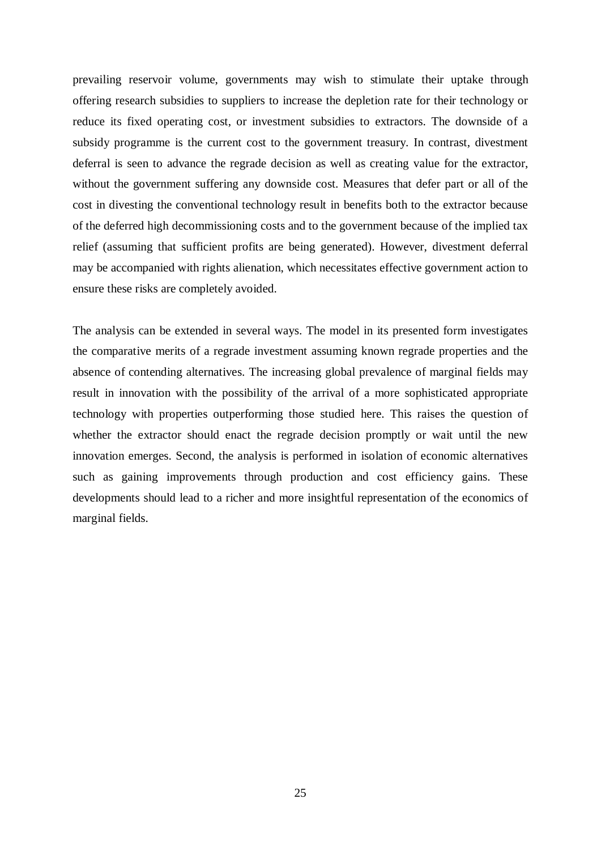prevailing reservoir volume, governments may wish to stimulate their uptake through offering research subsidies to suppliers to increase the depletion rate for their technology or reduce its fixed operating cost, or investment subsidies to extractors. The downside of a subsidy programme is the current cost to the government treasury. In contrast, divestment deferral is seen to advance the regrade decision as well as creating value for the extractor, without the government suffering any downside cost. Measures that defer part or all of the cost in divesting the conventional technology result in benefits both to the extractor because of the deferred high decommissioning costs and to the government because of the implied tax relief (assuming that sufficient profits are being generated). However, divestment deferral may be accompanied with rights alienation, which necessitates effective government action to ensure these risks are completely avoided.

The analysis can be extended in several ways. The model in its presented form investigates the comparative merits of a regrade investment assuming known regrade properties and the absence of contending alternatives. The increasing global prevalence of marginal fields may result in innovation with the possibility of the arrival of a more sophisticated appropriate technology with properties outperforming those studied here. This raises the question of whether the extractor should enact the regrade decision promptly or wait until the new innovation emerges. Second, the analysis is performed in isolation of economic alternatives such as gaining improvements through production and cost efficiency gains. These developments should lead to a richer and more insightful representation of the economics of marginal fields.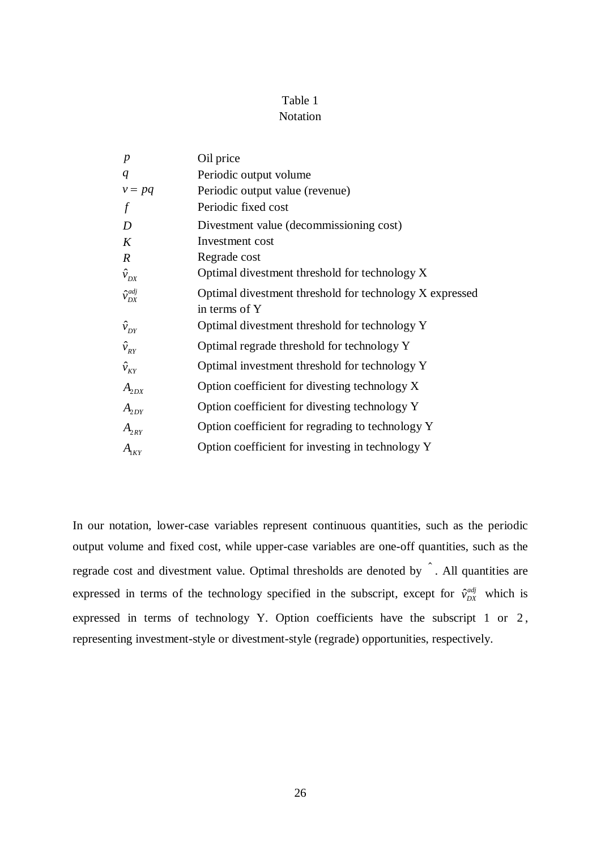# Table 1

# Notation

| $\boldsymbol{p}$               | Oil price                                               |
|--------------------------------|---------------------------------------------------------|
| q                              | Periodic output volume                                  |
| $v = pq$                       | Periodic output value (revenue)                         |
| f                              | Periodic fixed cost                                     |
| D                              | Divestment value (decommissioning cost)                 |
| K                              | Investment cost                                         |
| $\boldsymbol{R}$               | Regrade cost                                            |
| $\hat{v}_{DX}$                 | Optimal divestment threshold for technology X           |
| $\hat{\mathcal{V}}_{DX}^{adj}$ | Optimal divestment threshold for technology X expressed |
|                                | in terms of Y                                           |
| $\hat{v}_{DY}$                 | Optimal divestment threshold for technology Y           |
| $\hat{v}_{RY}$                 | Optimal regrade threshold for technology Y              |
| $\hat{v}_{KY}$                 | Optimal investment threshold for technology Y           |
| $A_{2DX}$                      | Option coefficient for divesting technology X           |
| $A_{2DY}$                      | Option coefficient for divesting technology Y           |
| $A_{2RY}$                      | Option coefficient for regrading to technology Y        |
| $A$ <sub>IKY</sub>             | Option coefficient for investing in technology Y        |

In our notation, lower-case variables represent continuous quantities, such as the periodic output volume and fixed cost, while upper-case variables are one-off quantities, such as the regrade cost and divestment value. Optimal thresholds are denoted by . All quantities are expressed in terms of the technology specified in the subscript, except for  $\hat{v}_{DX}^{adj}$  which is expressed in terms of technology Y. Option coefficients have the subscript 1 or 2, representing investment-style or divestment-style (regrade) opportunities, respectively.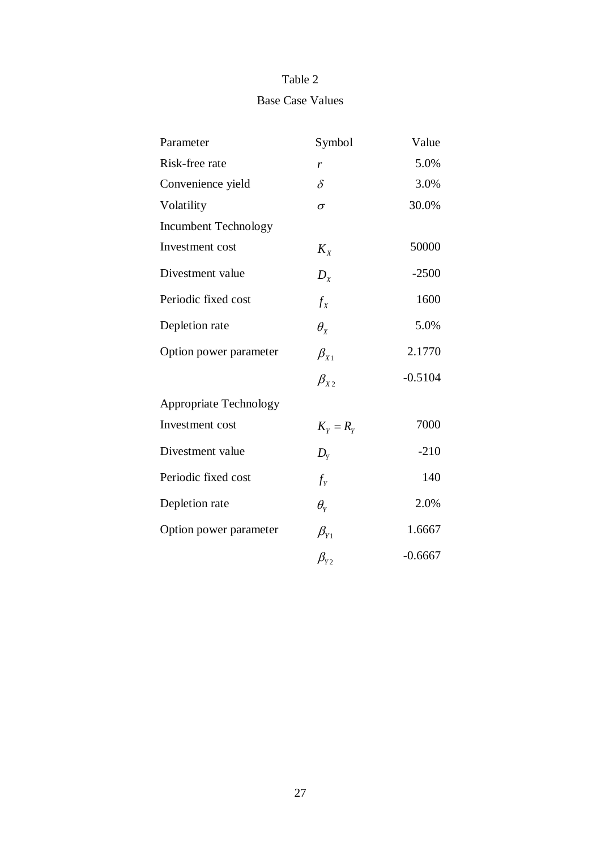# Table 2

# Base Case Values

| Parameter                     | Symbol                | Value     |
|-------------------------------|-----------------------|-----------|
| Risk-free rate                | r                     | 5.0%      |
| Convenience yield             | $\delta$              | 3.0%      |
| Volatility                    | σ                     | 30.0%     |
| <b>Incumbent Technology</b>   |                       |           |
| Investment cost               | $K_{\rm y}$           | 50000     |
| Divestment value              | $D_{\rm y}$           | $-2500$   |
| Periodic fixed cost           | $f_{x}$               | 1600      |
| Depletion rate                | $\theta_{\rm x}$      | 5.0%      |
| Option power parameter        | $\beta_{X1}$          | 2.1770    |
|                               | $\beta_{x}$           | $-0.5104$ |
| <b>Appropriate Technology</b> |                       |           |
| Investment cost               | $K_{\rm y}=R_{\rm y}$ | 7000      |
| Divestment value              | $D_{Y}$               | $-210$    |
| Periodic fixed cost           | $f_Y$                 | 140       |
| Depletion rate                | $\theta_{\rm y}$      | 2.0%      |
| Option power parameter        | $\beta_{Y1}$          | 1.6667    |
|                               | $\beta_{y}$           | $-0.6667$ |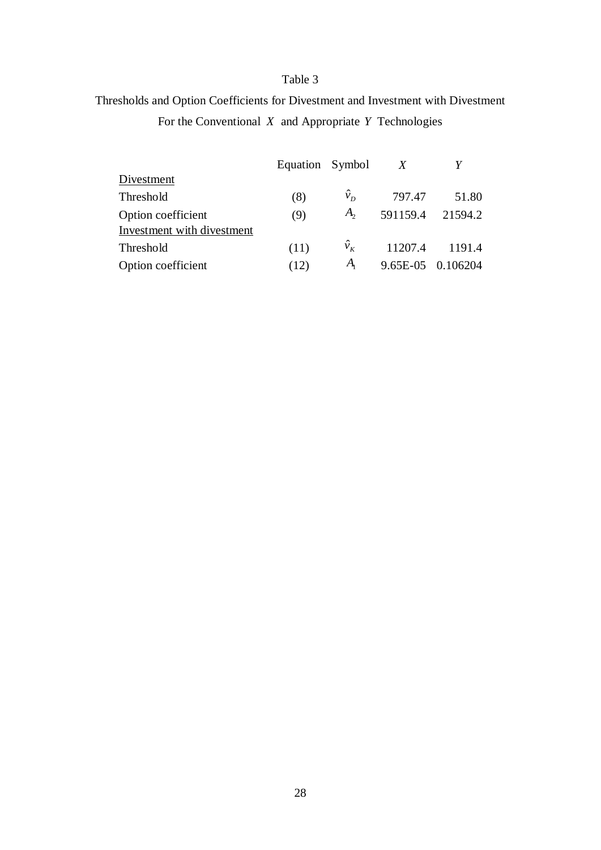# Table 3

# Thresholds and Option Coefficients for Divestment and Investment with Divestment For the Conventional *X* and Appropriate *Y* Technologies

|                            | Equation Symbol |             | X        |                   |
|----------------------------|-----------------|-------------|----------|-------------------|
| Divestment                 |                 |             |          |                   |
| Threshold                  | (8)             | $\hat{v}_D$ | 797.47   | 51.80             |
| Option coefficient         | (9)             | $A_{2}$     | 591159.4 | 21594.2           |
| Investment with divestment |                 |             |          |                   |
| Threshold                  | (11)            | $\hat{v}_k$ |          | 11207.4 1191.4    |
| Option coefficient         | (12)            | $A_{i}$     |          | 9.65E-05 0.106204 |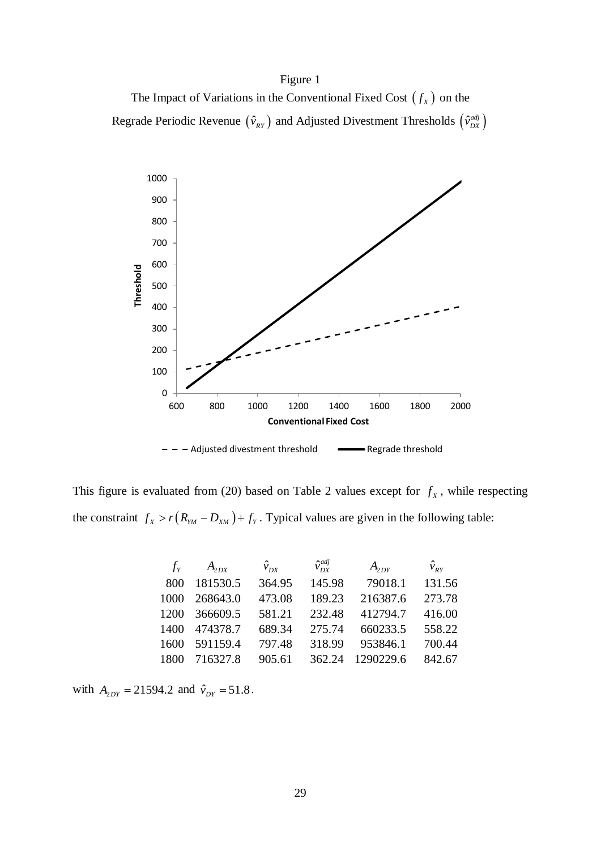The Impact of Variations in the Conventional Fixed Cost  $(f_x)$  on the Regrade Periodic Revenue  $(\hat{v}_{RY})$  and Adjusted Divestment Thresholds  $(\hat{v}_{DX}^{adj})$ 



This figure is evaluated from (20) based on Table 2 values except for  $f<sub>x</sub>$ , while respecting the constraint  $f_X > r(R_{YM} - D_{XM}) + f_Y$ . Typical values are given in the following table:

| $f_{\rm v}$ | $A_{2DX}$ | $\hat{v}_{DX}$ | $\hat{v}_{\scriptscriptstyle D}^{adj}$ | $A_{\rm 2DY}$ | $\hat{v}_{_{RY}}$ |
|-------------|-----------|----------------|----------------------------------------|---------------|-------------------|
| 800         | 181530.5  | 364.95         | 145.98                                 | 79018.1       | 131.56            |
| 1000        | 268643.0  | 473.08         | 189.23                                 | 216387.6      | 273.78            |
| 1200        | 366609.5  | 581.21         | 232.48                                 | 412794.7      | 416.00            |
| 1400        | 474378.7  | 689.34         | 275.74                                 | 660233.5      | 558.22            |
| 1600        | 591159.4  | 797.48         | 318.99                                 | 953846.1      | 700.44            |
| 1800        | 716327.8  | 905.61         | 362.24                                 | 1290229.6     | 842.67            |

with  $A_{2DY} = 21594.2$  and  $\hat{v}_{DY} = 51.8$ .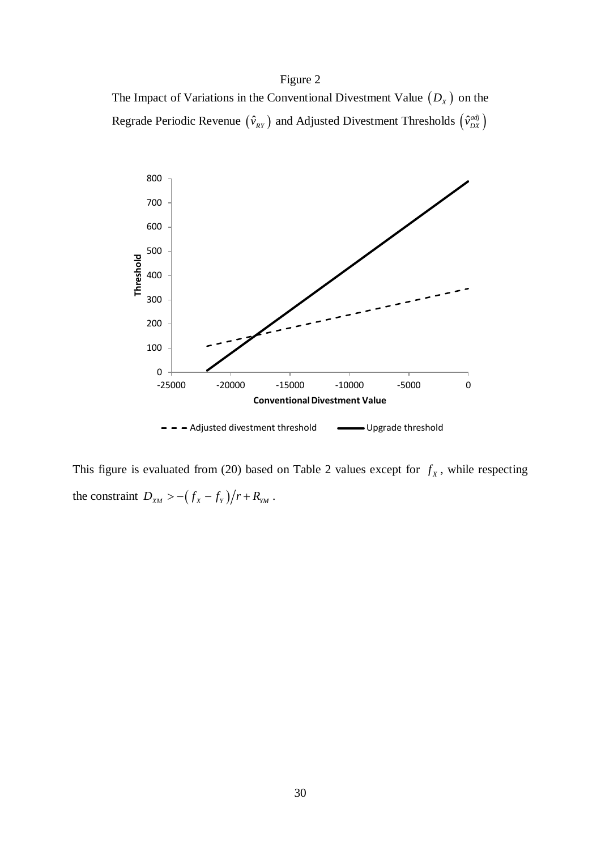The Impact of Variations in the Conventional Divestment Value  $(D_x)$  on the Regrade Periodic Revenue  $(\hat{v}_{RY})$  and Adjusted Divestment Thresholds  $(\hat{v}_{DX}^{adj})$ 



This figure is evaluated from (20) based on Table 2 values except for  $f<sub>x</sub>$ , while respecting the constraint  $D_{X_M} > -(f_X - f_Y)/r + R_{Y_M}$ .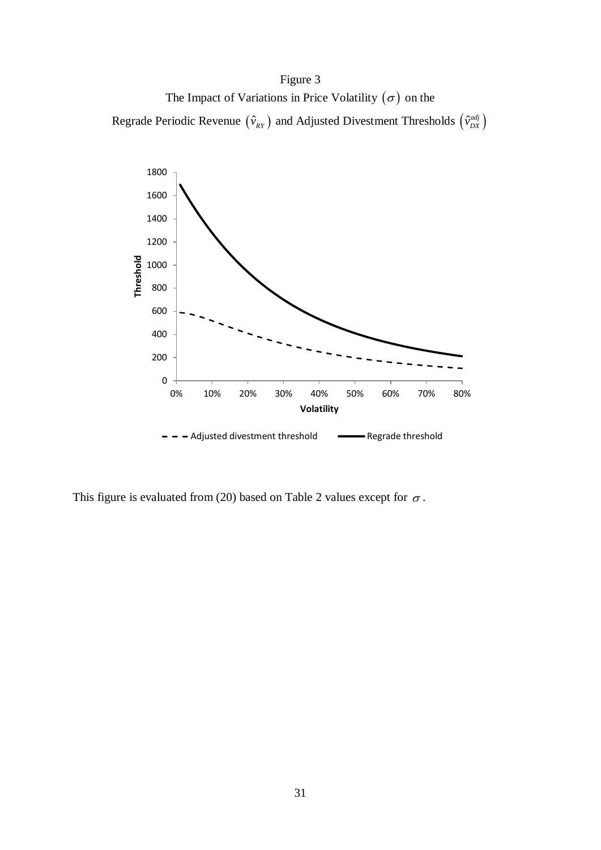The Impact of Variations in Price Volatility  $(\sigma)$  on the

Regrade Periodic Revenue  $(\hat{v}_{RY})$  and Adjusted Divestment Thresholds  $(\hat{v}_{DX}^{adj})$ 



This figure is evaluated from (20) based on Table 2 values except for  $\sigma$ .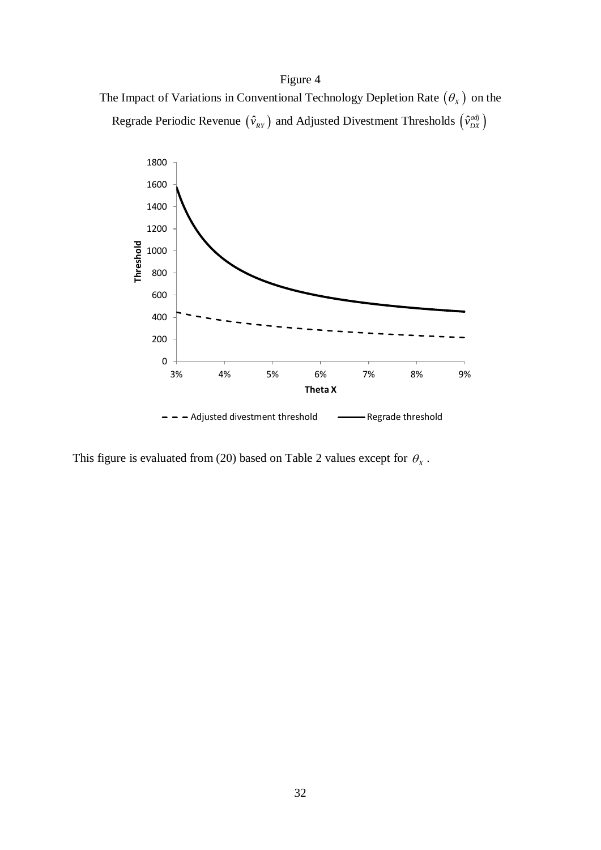



This figure is evaluated from (20) based on Table 2 values except for  $\theta_x$ .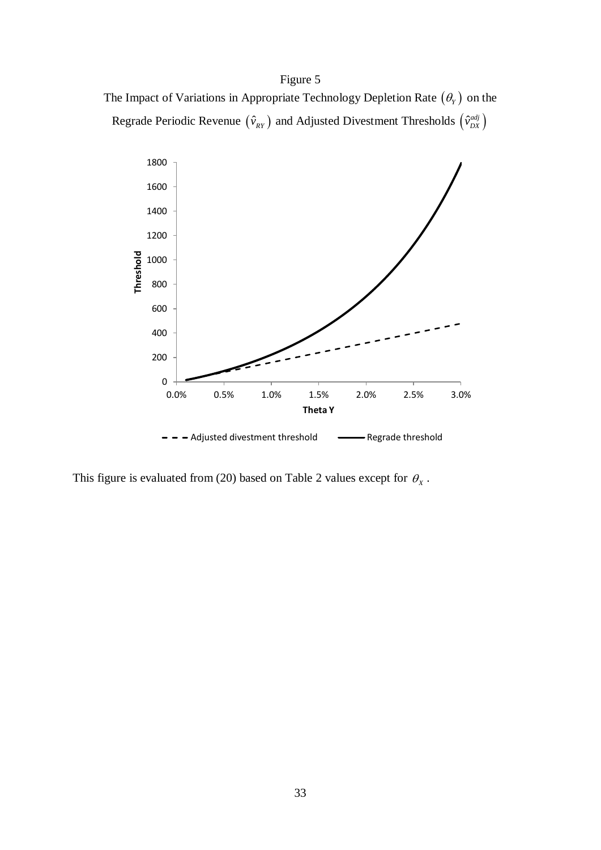The Impact of Variations in Appropriate Technology Depletion Rate  $(\theta_Y)$  on the Regrade Periodic Revenue  $(\hat{v}_{RY})$  and Adjusted Divestment Thresholds  $(\hat{v}_{DX}^{adj})$ 



This figure is evaluated from (20) based on Table 2 values except for  $\theta_x$ .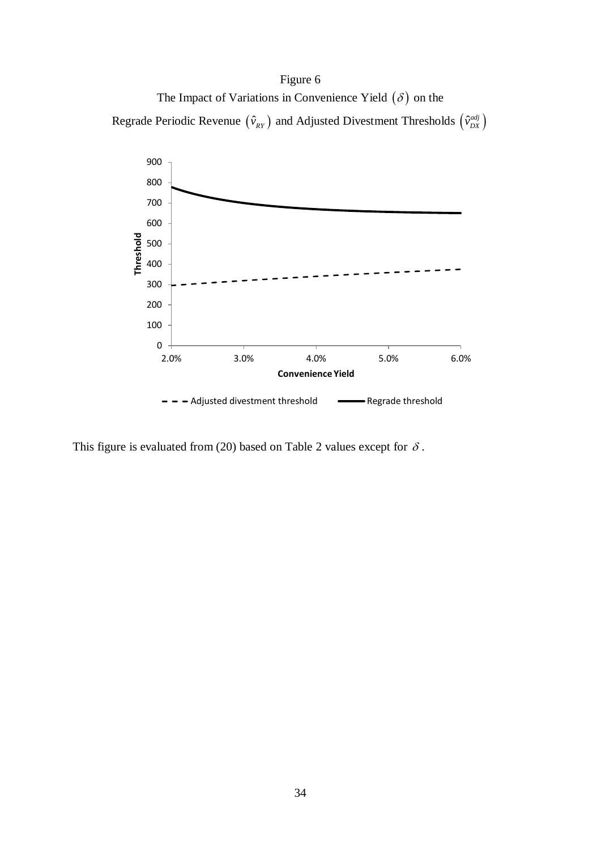The Impact of Variations in Convenience Yield  $(\delta)$  on the

Regrade Periodic Revenue  $(\hat{v}_{RY})$  and Adjusted Divestment Thresholds  $(\hat{v}_{DX}^{adj})$ 



This figure is evaluated from (20) based on Table 2 values except for  $\delta$ .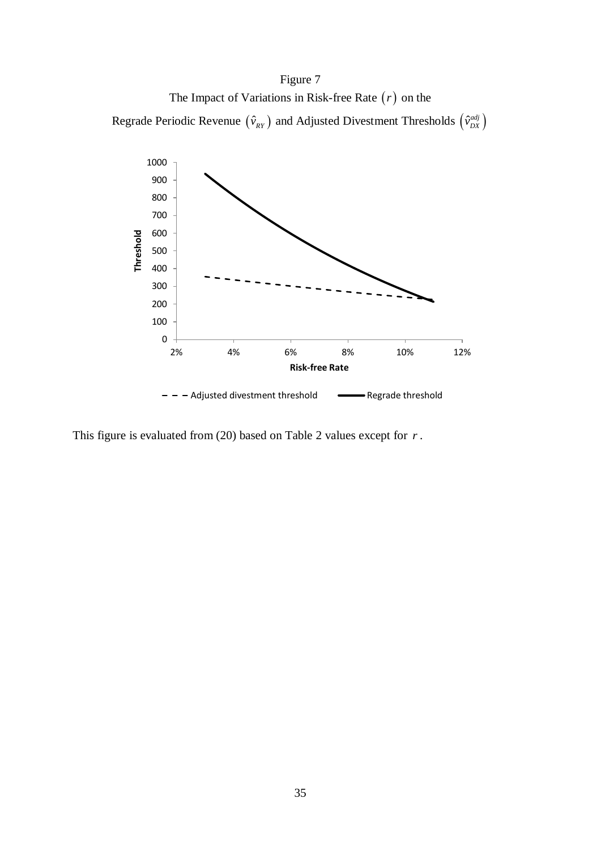The Impact of Variations in Risk-free Rate (*r*) on the

Regrade Periodic Revenue  $(\hat{v}_{RY})$  and Adjusted Divestment Thresholds  $(\hat{v}_{DX}^{adj})$ 



This figure is evaluated from (20) based on Table 2 values except for *r* .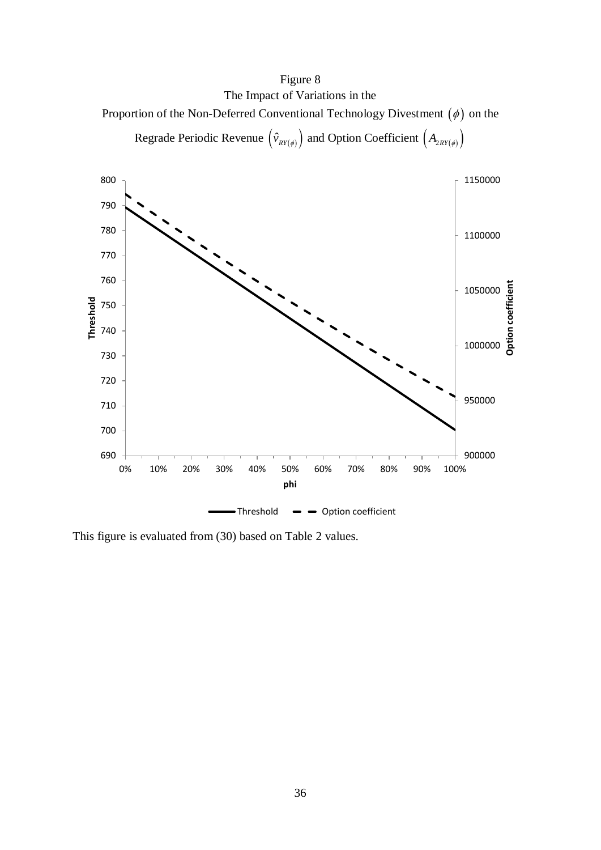# Figure 8 The Impact of Variations in the

Proportion of the Non-Deferred Conventional Technology Divestment  $(\phi)$  on the

Regrade Periodic Revenue  $(\hat{v}_{RV(\phi)})$  and Option Coefficient  $(A_{2RV(\phi)})$ 



This figure is evaluated from (30) based on Table 2 values.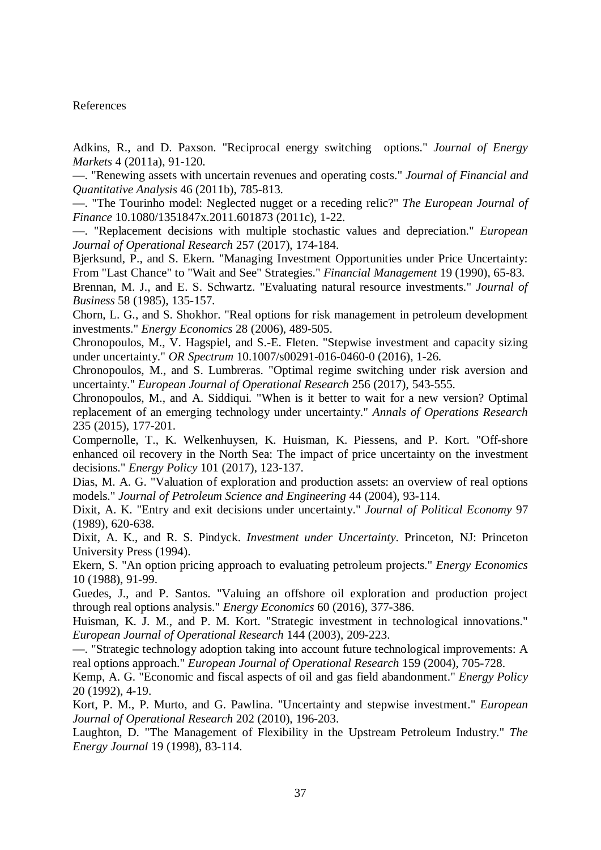## References

Adkins, R., and D. Paxson. "Reciprocal energy switching options." *Journal of Energy Markets* 4 (2011a), 91-120.

—. "Renewing assets with uncertain revenues and operating costs." *Journal of Financial and Quantitative Analysis* 46 (2011b), 785-813.

—. "The Tourinho model: Neglected nugget or a receding relic?" *The European Journal of Finance* 10.1080/1351847x.2011.601873 (2011c), 1-22.

—. "Replacement decisions with multiple stochastic values and depreciation." *European Journal of Operational Research* 257 (2017), 174-184.

Bjerksund, P., and S. Ekern. "Managing Investment Opportunities under Price Uncertainty: From "Last Chance" to "Wait and See" Strategies." *Financial Management* 19 (1990), 65-83.

Brennan, M. J., and E. S. Schwartz. "Evaluating natural resource investments." *Journal of Business* 58 (1985), 135-157.

Chorn, L. G., and S. Shokhor. "Real options for risk management in petroleum development investments." *Energy Economics* 28 (2006), 489-505.

Chronopoulos, M., V. Hagspiel, and S.-E. Fleten. "Stepwise investment and capacity sizing under uncertainty." *OR Spectrum* 10.1007/s00291-016-0460-0 (2016), 1-26.

Chronopoulos, M., and S. Lumbreras. "Optimal regime switching under risk aversion and uncertainty." *European Journal of Operational Research* 256 (2017), 543-555.

Chronopoulos, M., and A. Siddiqui. "When is it better to wait for a new version? Optimal replacement of an emerging technology under uncertainty." *Annals of Operations Research* 235 (2015), 177-201.

Compernolle, T., K. Welkenhuysen, K. Huisman, K. Piessens, and P. Kort. "Off-shore enhanced oil recovery in the North Sea: The impact of price uncertainty on the investment decisions." *Energy Policy* 101 (2017), 123-137.

Dias, M. A. G. "Valuation of exploration and production assets: an overview of real options models." *Journal of Petroleum Science and Engineering* 44 (2004), 93-114.

Dixit, A. K. "Entry and exit decisions under uncertainty." *Journal of Political Economy* 97 (1989), 620-638.

Dixit, A. K., and R. S. Pindyck. *Investment under Uncertainty*. Princeton, NJ: Princeton University Press (1994).

Ekern, S. "An option pricing approach to evaluating petroleum projects." *Energy Economics* 10 (1988), 91-99.

Guedes, J., and P. Santos. "Valuing an offshore oil exploration and production project through real options analysis." *Energy Economics* 60 (2016), 377-386.

Huisman, K. J. M., and P. M. Kort. "Strategic investment in technological innovations." *European Journal of Operational Research* 144 (2003), 209-223.

—. "Strategic technology adoption taking into account future technological improvements: A real options approach." *European Journal of Operational Research* 159 (2004), 705-728.

Kemp, A. G. "Economic and fiscal aspects of oil and gas field abandonment." *Energy Policy* 20 (1992), 4-19.

Kort, P. M., P. Murto, and G. Pawlina. "Uncertainty and stepwise investment." *European Journal of Operational Research* 202 (2010), 196-203.

Laughton, D. "The Management of Flexibility in the Upstream Petroleum Industry." *The Energy Journal* 19 (1998), 83-114.